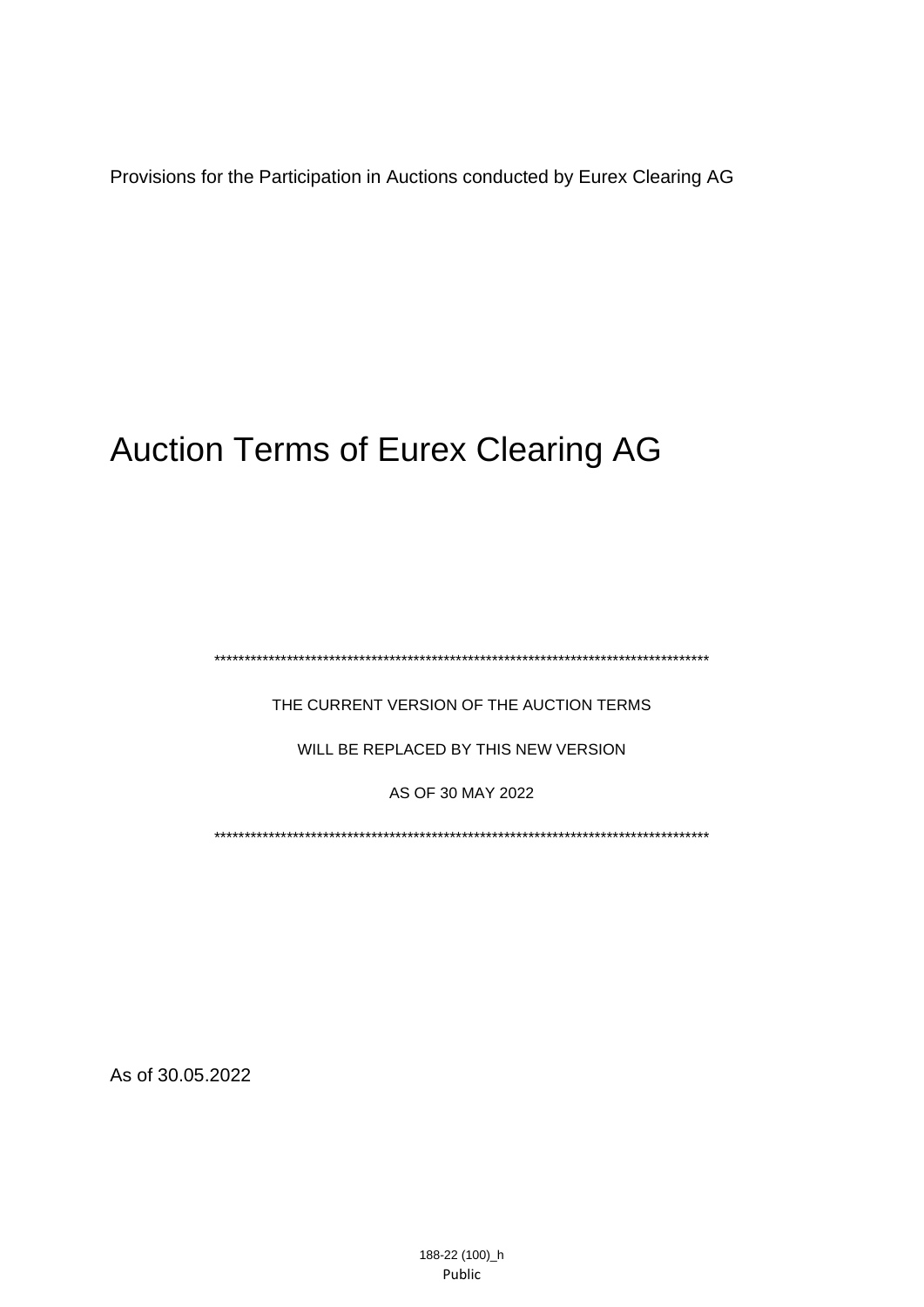Provisions for the Participation in Auctions conducted by Eurex Clearing AG

# Auction Terms of Eurex Clearing AG

\*\*\*\*\*\*\*\*\*\*\*\*\*\*\*\*\*\*\*\*\*\*\*\*\*\*\*\*\*\*\*\*\*\*\*\*\*\*\*\*\*\*\*\*\*\*\*\*\*\*\*\*\*\*\*\*\*\*\*\*\*\*\*\*\*\*\*\*\*\*\*\*\*\*\*\*\*\*\*\*\*\*

THE CURRENT VERSION OF THE AUCTION TERMS

WILL BE REPLACED BY THIS NEW VERSION

AS OF 30 MAY 2022

<span id="page-0-0"></span>\*\*\*\*\*\*\*\*\*\*\*\*\*\*\*\*\*\*\*\*\*\*\*\*\*\*\*\*\*\*\*\*\*\*\*\*\*\*\*\*\*\*\*\*\*\*\*\*\*\*\*\*\*\*\*\*\*\*\*\*\*\*\*\*\*\*\*\*\*\*\*\*\*\*\*\*\*\*\*\*\*\*

As of [30.05.2022](#page-0-0)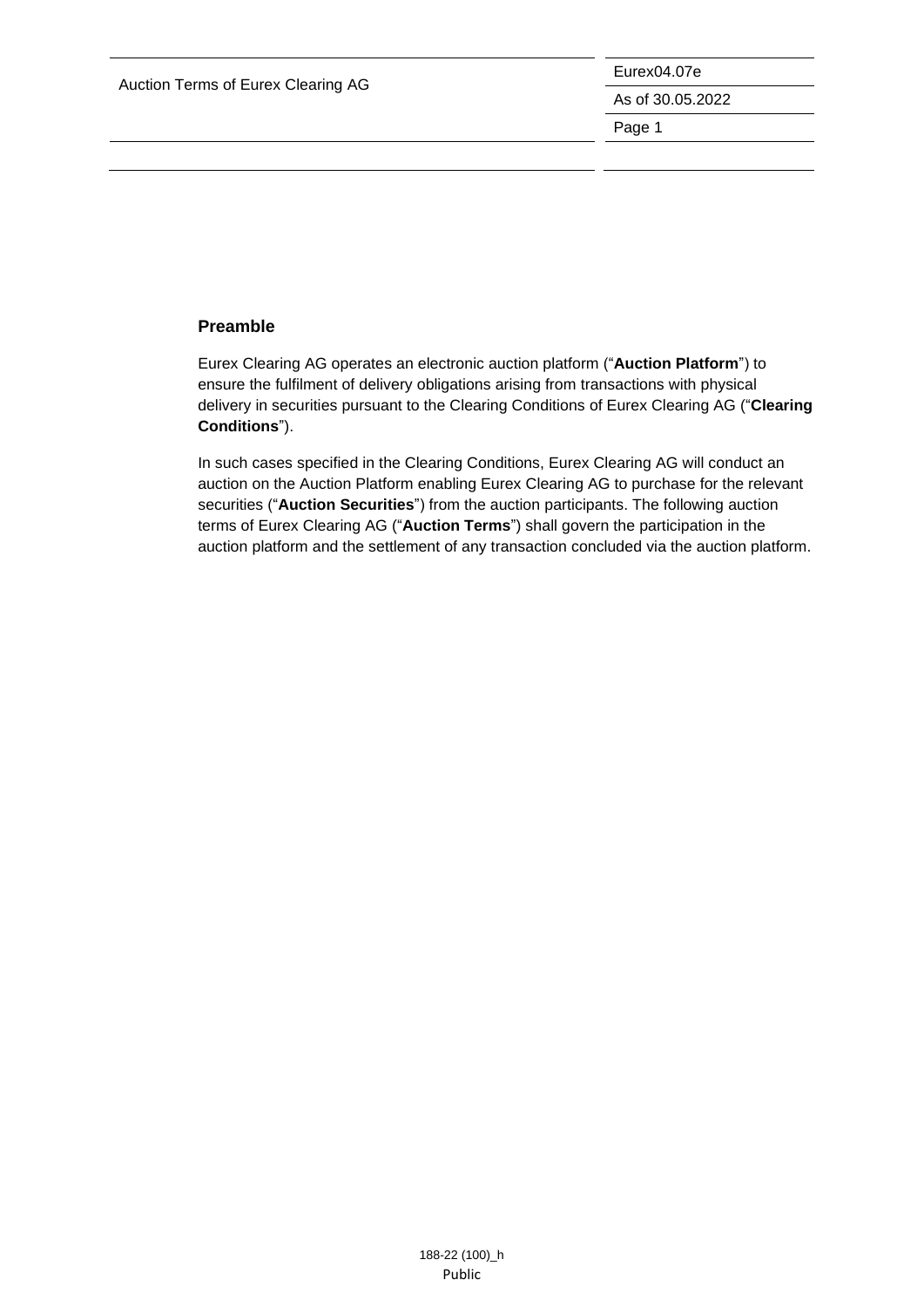Eurex04.07e As of 30.05.2022 Page 1

### <span id="page-1-0"></span>**Preamble**

Eurex Clearing AG operates an electronic auction platform ("**Auction Platform**") to ensure the fulfilment of delivery obligations arising from transactions with physical delivery in securities pursuant to the Clearing Conditions of Eurex Clearing AG ("**Clearing Conditions**").

In such cases specified in the Clearing Conditions, Eurex Clearing AG will conduct an auction on the Auction Platform enabling Eurex Clearing AG to purchase for the relevant securities ("**Auction Securities**") from the auction participants. The following auction terms of Eurex Clearing AG ("**Auction Terms**") shall govern the participation in the auction platform and the settlement of any transaction concluded via the auction platform.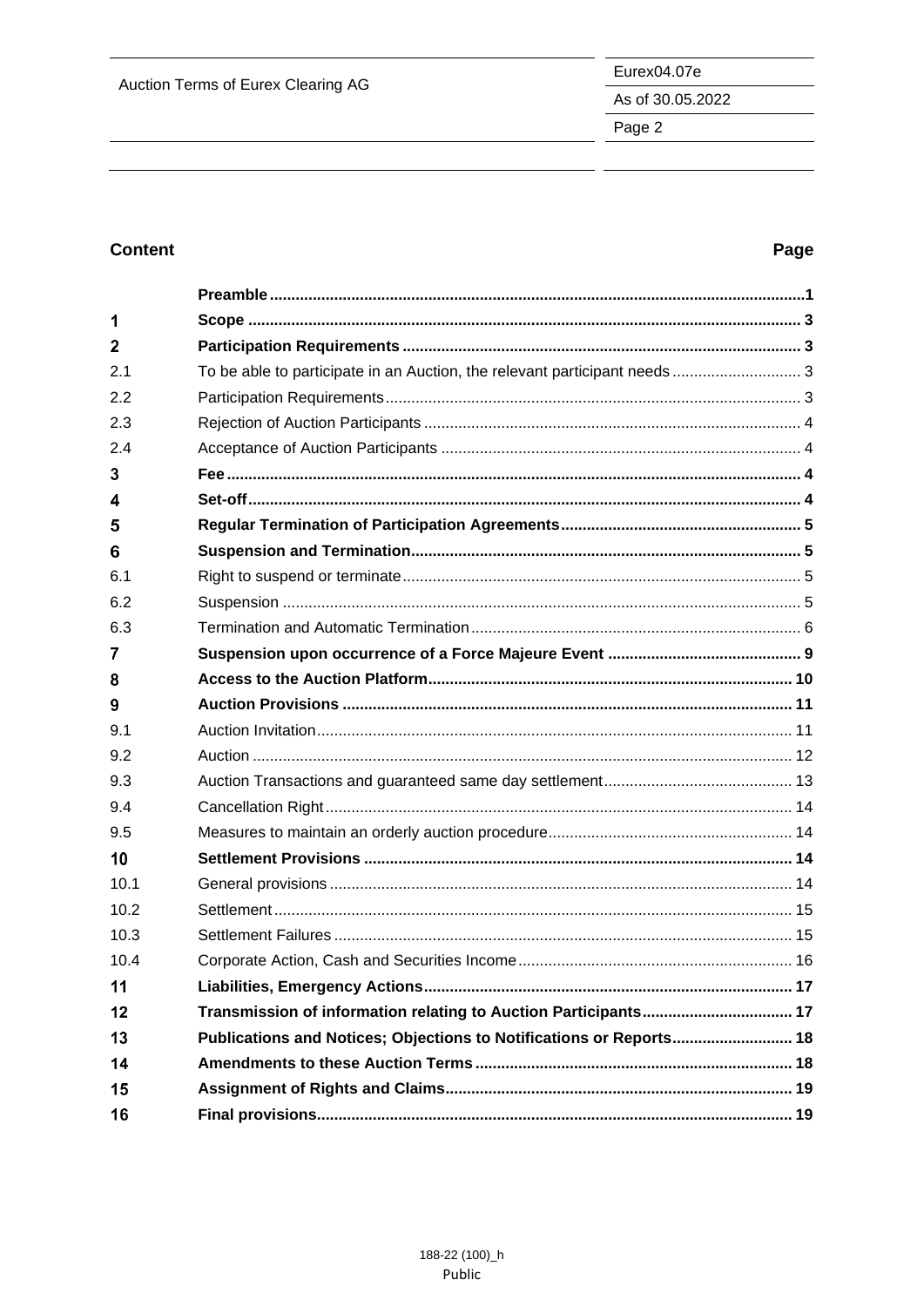As of 30.05.2022

Page 2

# **Content**

# Page

| 1    |                                                                           |  |
|------|---------------------------------------------------------------------------|--|
| 2    |                                                                           |  |
| 2.1  | To be able to participate in an Auction, the relevant participant needs 3 |  |
| 2.2  |                                                                           |  |
| 2.3  |                                                                           |  |
| 2.4  |                                                                           |  |
| 3    |                                                                           |  |
| 4    |                                                                           |  |
| 5    |                                                                           |  |
| 6    |                                                                           |  |
| 6.1  |                                                                           |  |
| 6.2  |                                                                           |  |
| 6.3  |                                                                           |  |
| 7    |                                                                           |  |
| 8    |                                                                           |  |
| 9    |                                                                           |  |
| 9.1  |                                                                           |  |
| 9.2  |                                                                           |  |
| 9.3  |                                                                           |  |
| 9.4  |                                                                           |  |
| 9.5  |                                                                           |  |
| 10   |                                                                           |  |
| 10.1 |                                                                           |  |
| 10.2 |                                                                           |  |
| 10.3 |                                                                           |  |
| 10.4 |                                                                           |  |
| 11   |                                                                           |  |
| 12   |                                                                           |  |
| 13   | Publications and Notices; Objections to Notifications or Reports 18       |  |
| 14   |                                                                           |  |
| 15   |                                                                           |  |
| 16   |                                                                           |  |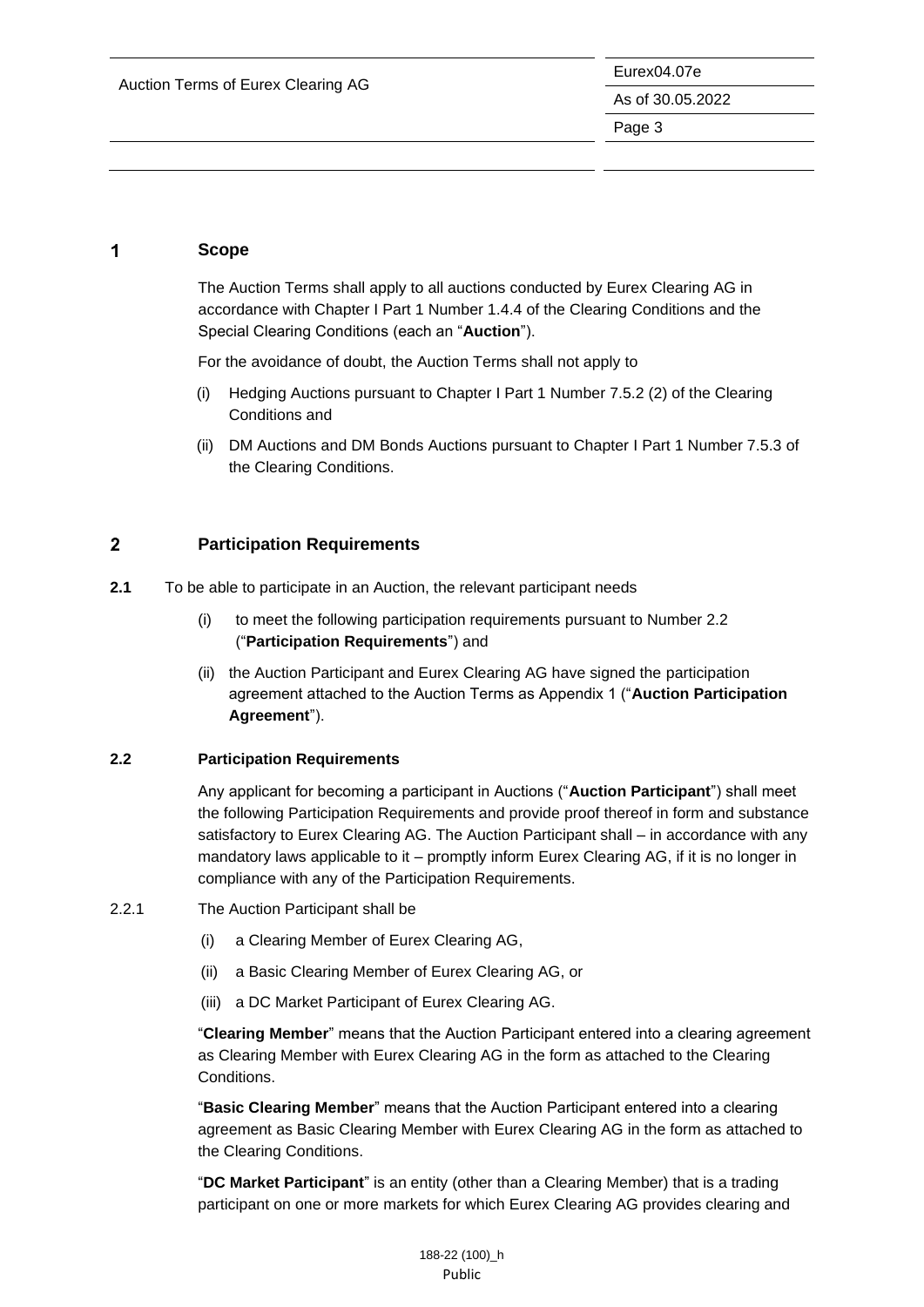#### <span id="page-3-0"></span>1 **Scope**

The Auction Terms shall apply to all auctions conducted by Eurex Clearing AG in accordance with Chapter I Part 1 Number 1.4.4 of the Clearing Conditions and the Special Clearing Conditions (each an "**Auction**").

For the avoidance of doubt, the Auction Terms shall not apply to

- (i) Hedging Auctions pursuant to Chapter I Part 1 Number 7.5.2 (2) of the Clearing Conditions and
- (ii) DM Auctions and DM Bonds Auctions pursuant to Chapter I Part 1 Number 7.5.3 of the Clearing Conditions.

#### <span id="page-3-1"></span> $\overline{2}$ **Participation Requirements**

- <span id="page-3-2"></span>**2.1** To be able to participate in an Auction, the relevant participant needs
	- (i) to meet the following participation requirements pursuant to Number 2.2 ("**Participation Requirements**") and
	- (ii) the Auction Participant and Eurex Clearing AG have signed the participation agreement attached to the Auction Terms as Appendix 1 ("**Auction Participation Agreement**").

#### <span id="page-3-3"></span>**2.2 Participation Requirements**

Any applicant for becoming a participant in Auctions ("**Auction Participant**") shall meet the following Participation Requirements and provide proof thereof in form and substance satisfactory to Eurex Clearing AG. The Auction Participant shall – in accordance with any mandatory laws applicable to it – promptly inform Eurex Clearing AG, if it is no longer in compliance with any of the Participation Requirements.

- 2.2.1 The Auction Participant shall be
	- (i) a Clearing Member of Eurex Clearing AG,
	- (ii) a Basic Clearing Member of Eurex Clearing AG, or
	- (iii) a DC Market Participant of Eurex Clearing AG.

"**Clearing Member**" means that the Auction Participant entered into a clearing agreement as Clearing Member with Eurex Clearing AG in the form as attached to the Clearing Conditions.

"**Basic Clearing Member**" means that the Auction Participant entered into a clearing agreement as Basic Clearing Member with Eurex Clearing AG in the form as attached to the Clearing Conditions.

"**DC Market Participant**" is an entity (other than a Clearing Member) that is a trading participant on one or more markets for which Eurex Clearing AG provides clearing and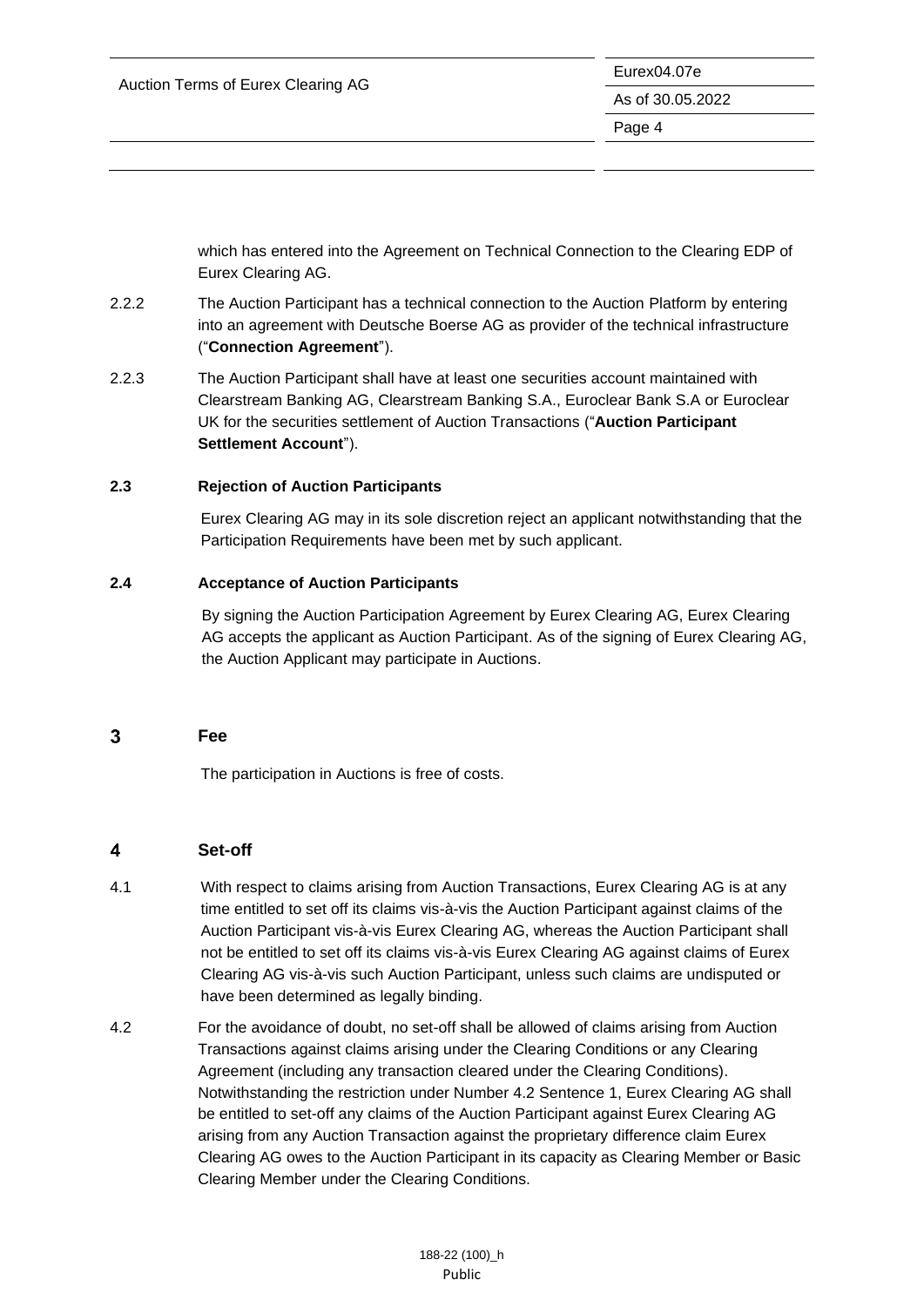which has entered into the Agreement on Technical Connection to the Clearing EDP of Eurex Clearing AG.

- 2.2.2 The Auction Participant has a technical connection to the Auction Platform by entering into an agreement with Deutsche Boerse AG as provider of the technical infrastructure ("**Connection Agreement**").
- 2.2.3 The Auction Participant shall have at least one securities account maintained with Clearstream Banking AG, Clearstream Banking S.A., Euroclear Bank S.A or Euroclear UK for the securities settlement of Auction Transactions ("**Auction Participant Settlement Account**").

### <span id="page-4-0"></span>**2.3 Rejection of Auction Participants**

Eurex Clearing AG may in its sole discretion reject an applicant notwithstanding that the Participation Requirements have been met by such applicant.

### <span id="page-4-1"></span>**2.4 Acceptance of Auction Participants**

By signing the Auction Participation Agreement by Eurex Clearing AG, Eurex Clearing AG accepts the applicant as Auction Participant. As of the signing of Eurex Clearing AG, the Auction Applicant may participate in Auctions.

#### <span id="page-4-2"></span> $\overline{3}$ **Fee**

The participation in Auctions is free of costs.

#### <span id="page-4-3"></span>**Set-off**  $\overline{\mathbf{4}}$

- 4.1 With respect to claims arising from Auction Transactions, Eurex Clearing AG is at any time entitled to set off its claims vis-à-vis the Auction Participant against claims of the Auction Participant vis-à-vis Eurex Clearing AG, whereas the Auction Participant shall not be entitled to set off its claims vis-à-vis Eurex Clearing AG against claims of Eurex Clearing AG vis-à-vis such Auction Participant, unless such claims are undisputed or have been determined as legally binding.
- 4.2 For the avoidance of doubt, no set-off shall be allowed of claims arising from Auction Transactions against claims arising under the Clearing Conditions or any Clearing Agreement (including any transaction cleared under the Clearing Conditions). Notwithstanding the restriction under Number 4.2 Sentence 1, Eurex Clearing AG shall be entitled to set-off any claims of the Auction Participant against Eurex Clearing AG arising from any Auction Transaction against the proprietary difference claim Eurex Clearing AG owes to the Auction Participant in its capacity as Clearing Member or Basic Clearing Member under the Clearing Conditions.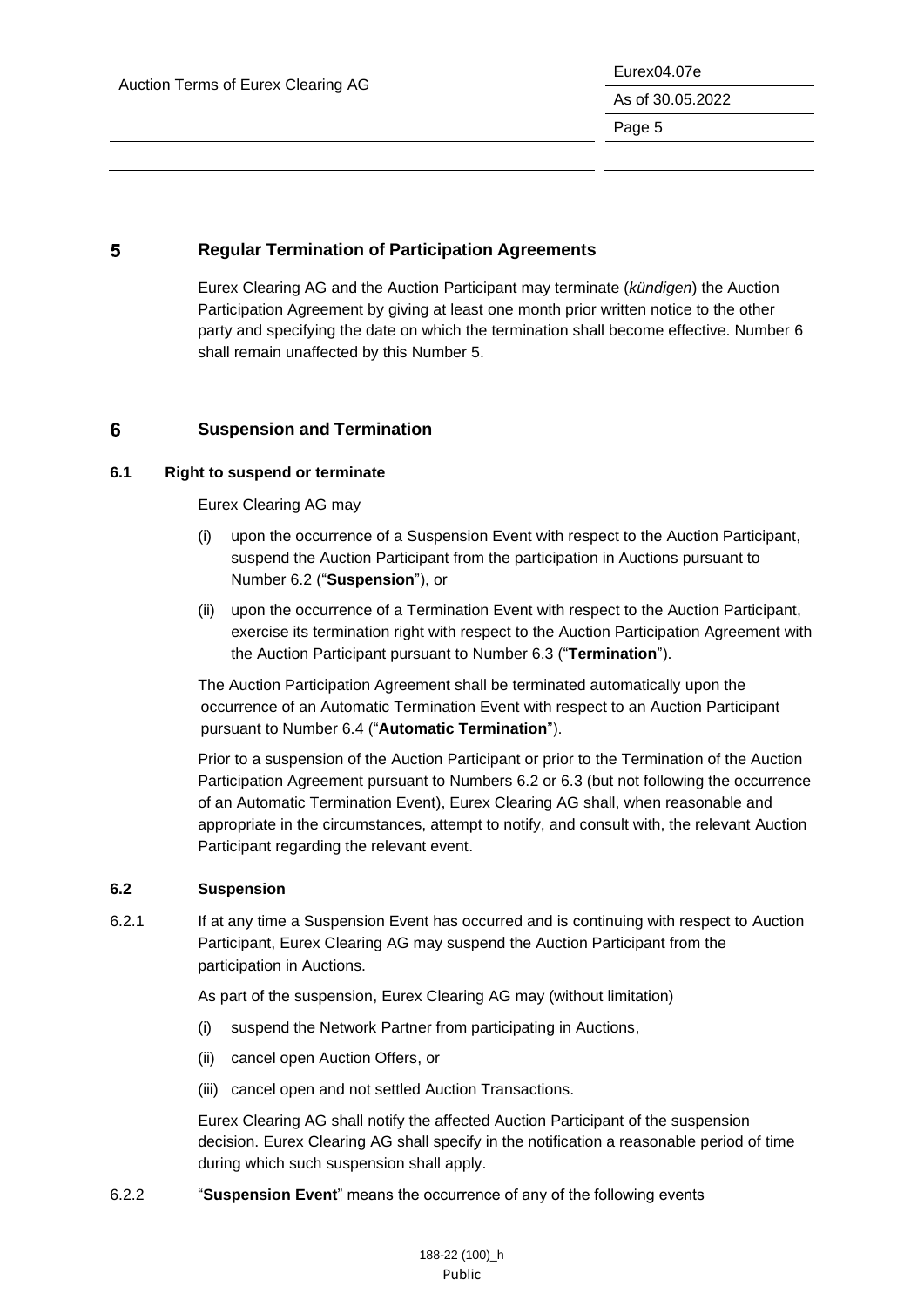#### <span id="page-5-0"></span>5 **Regular Termination of Participation Agreements**

Eurex Clearing AG and the Auction Participant may terminate (*kündigen*) the Auction Participation Agreement by giving at least one month prior written notice to the other party and specifying the date on which the termination shall become effective. Number 6 shall remain unaffected by this Number 5.

#### <span id="page-5-1"></span>6 **Suspension and Termination**

### <span id="page-5-2"></span>**6.1 Right to suspend or terminate**

Eurex Clearing AG may

- (i) upon the occurrence of a Suspension Event with respect to the Auction Participant, suspend the Auction Participant from the participation in Auctions pursuant to Number 6.2 ("**Suspension**"), or
- (ii) upon the occurrence of a Termination Event with respect to the Auction Participant, exercise its termination right with respect to the Auction Participation Agreement with the Auction Participant pursuant to Number 6.3 ("**Termination**").

The Auction Participation Agreement shall be terminated automatically upon the occurrence of an Automatic Termination Event with respect to an Auction Participant pursuant to Number 6.4 ("**Automatic Termination**").

Prior to a suspension of the Auction Participant or prior to the Termination of the Auction Participation Agreement pursuant to Numbers 6.2 or 6.3 (but not following the occurrence of an Automatic Termination Event), Eurex Clearing AG shall, when reasonable and appropriate in the circumstances, attempt to notify, and consult with, the relevant Auction Participant regarding the relevant event.

### <span id="page-5-3"></span>**6.2 Suspension**

6.2.1 If at any time a Suspension Event has occurred and is continuing with respect to Auction Participant, Eurex Clearing AG may suspend the Auction Participant from the participation in Auctions.

As part of the suspension, Eurex Clearing AG may (without limitation)

- (i) suspend the Network Partner from participating in Auctions,
- (ii) cancel open Auction Offers, or
- (iii) cancel open and not settled Auction Transactions.

Eurex Clearing AG shall notify the affected Auction Participant of the suspension decision. Eurex Clearing AG shall specify in the notification a reasonable period of time during which such suspension shall apply.

6.2.2 "**Suspension Event**" means the occurrence of any of the following events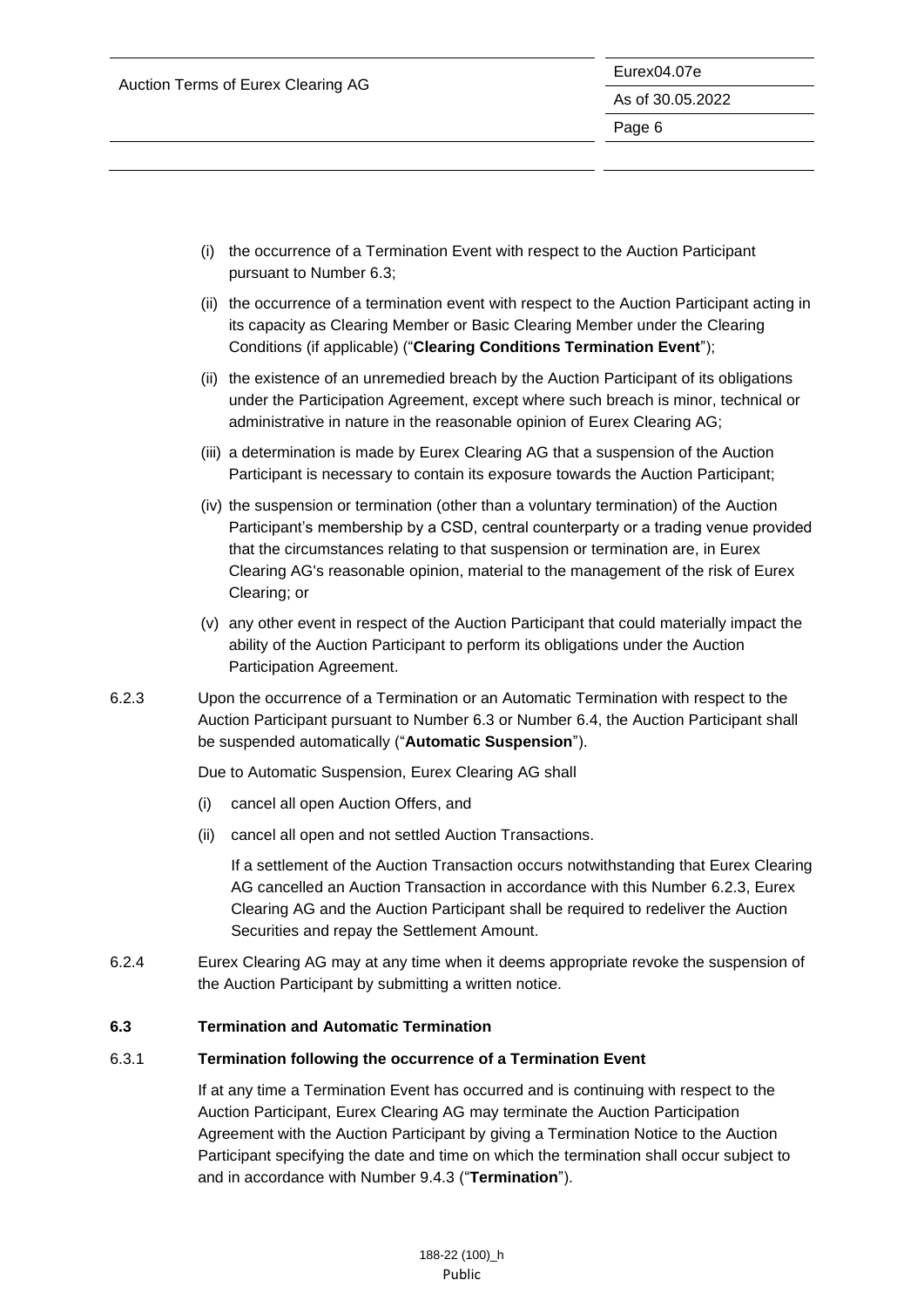|                                    | Eurex04.07e      |  |
|------------------------------------|------------------|--|
| Auction Terms of Eurex Clearing AG | As of 30.05.2022 |  |
|                                    | Page 6           |  |
|                                    |                  |  |
|                                    |                  |  |

- (i) the occurrence of a Termination Event with respect to the Auction Participant pursuant to Number 6.3;
- (ii) the occurrence of a termination event with respect to the Auction Participant acting in its capacity as Clearing Member or Basic Clearing Member under the Clearing Conditions (if applicable) ("**Clearing Conditions Termination Event**");
- (ii) the existence of an unremedied breach by the Auction Participant of its obligations under the Participation Agreement, except where such breach is minor, technical or administrative in nature in the reasonable opinion of Eurex Clearing AG;
- (iii) a determination is made by Eurex Clearing AG that a suspension of the Auction Participant is necessary to contain its exposure towards the Auction Participant;
- (iv) the suspension or termination (other than a voluntary termination) of the Auction Participant's membership by a CSD, central counterparty or a trading venue provided that the circumstances relating to that suspension or termination are, in Eurex Clearing AG's reasonable opinion, material to the management of the risk of Eurex Clearing; or
- (v) any other event in respect of the Auction Participant that could materially impact the ability of the Auction Participant to perform its obligations under the Auction Participation Agreement.
- 6.2.3 Upon the occurrence of a Termination or an Automatic Termination with respect to the Auction Participant pursuant to Number 6.3 or Number 6.4, the Auction Participant shall be suspended automatically ("**Automatic Suspension**").

Due to Automatic Suspension, Eurex Clearing AG shall

- (i) cancel all open Auction Offers, and
- (ii) cancel all open and not settled Auction Transactions.

If a settlement of the Auction Transaction occurs notwithstanding that Eurex Clearing AG cancelled an Auction Transaction in accordance with this Number 6.2.3, Eurex Clearing AG and the Auction Participant shall be required to redeliver the Auction Securities and repay the Settlement Amount.

6.2.4 Eurex Clearing AG may at any time when it deems appropriate revoke the suspension of the Auction Participant by submitting a written notice.

### <span id="page-6-0"></span>**6.3 Termination and Automatic Termination**

#### 6.3.1 **Termination following the occurrence of a Termination Event**

If at any time a Termination Event has occurred and is continuing with respect to the Auction Participant, Eurex Clearing AG may terminate the Auction Participation Agreement with the Auction Participant by giving a Termination Notice to the Auction Participant specifying the date and time on which the termination shall occur subject to and in accordance with Number 9.4.3 ("**Termination**").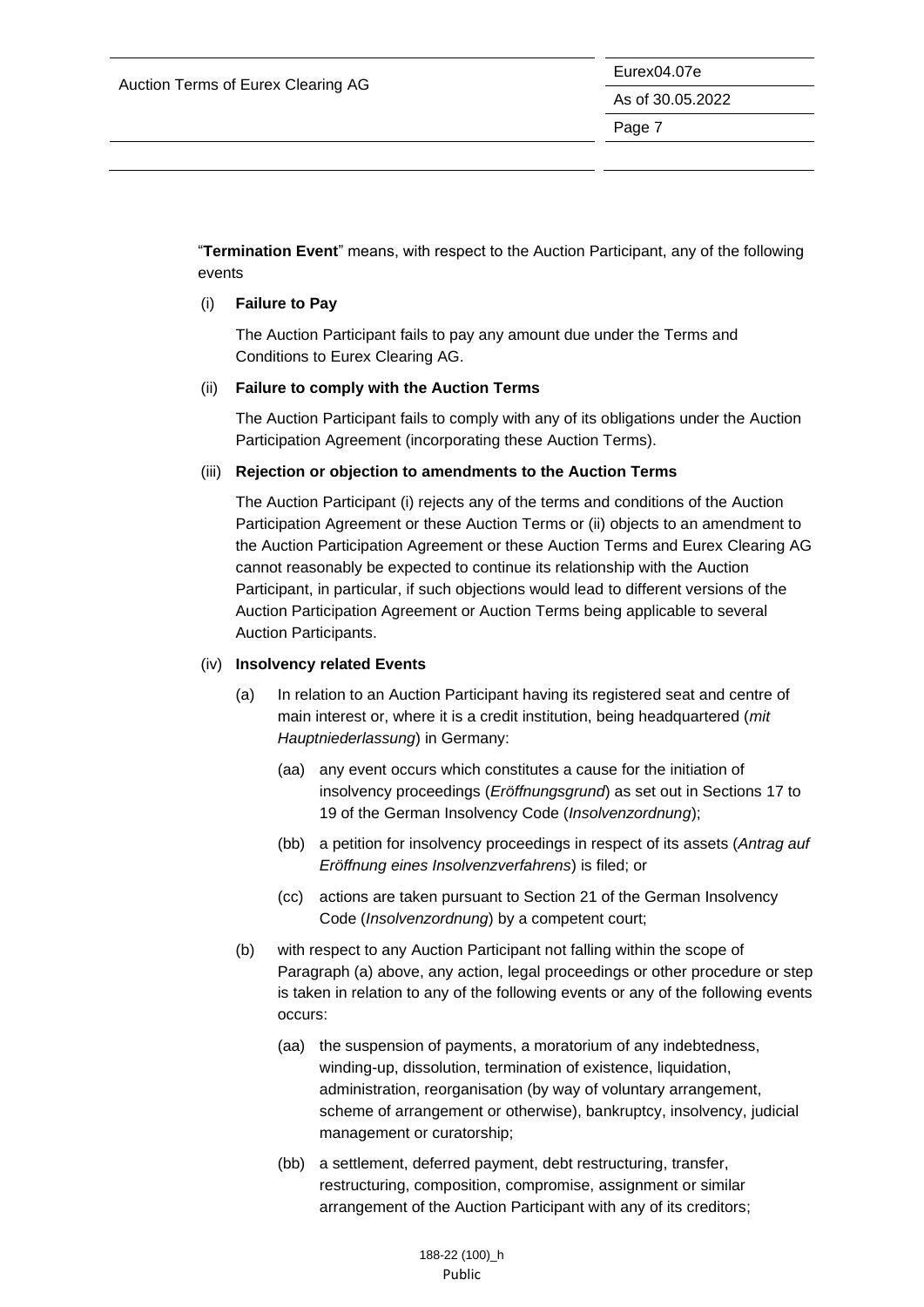Eurex04.07e As of 30.05.2022

Page 7

"**Termination Event**" means, with respect to the Auction Participant, any of the following events

#### (i) **Failure to Pay**

The Auction Participant fails to pay any amount due under the Terms and Conditions to Eurex Clearing AG.

#### (ii) **Failure to comply with the Auction Terms**

The Auction Participant fails to comply with any of its obligations under the Auction Participation Agreement (incorporating these Auction Terms).

#### (iii) **Rejection or objection to amendments to the Auction Terms**

The Auction Participant (i) rejects any of the terms and conditions of the Auction Participation Agreement or these Auction Terms or (ii) objects to an amendment to the Auction Participation Agreement or these Auction Terms and Eurex Clearing AG cannot reasonably be expected to continue its relationship with the Auction Participant, in particular, if such objections would lead to different versions of the Auction Participation Agreement or Auction Terms being applicable to several Auction Participants.

#### (iv) **Insolvency related Events**

- (a) In relation to an Auction Participant having its registered seat and centre of main interest or, where it is a credit institution, being headquartered (*mit Hauptniederlassung*) in Germany:
	- (aa) any event occurs which constitutes a cause for the initiation of insolvency proceedings (*Eröffnungsgrund*) as set out in Sections 17 to 19 of the German Insolvency Code (*Insolvenzordnung*);
	- (bb) a petition for insolvency proceedings in respect of its assets (*Antrag auf Eröffnung eines Insolvenzverfahrens*) is filed; or
	- (cc) actions are taken pursuant to Section 21 of the German Insolvency Code (*Insolvenzordnung*) by a competent court;
- (b) with respect to any Auction Participant not falling within the scope of Paragraph (a) above, any action, legal proceedings or other procedure or step is taken in relation to any of the following events or any of the following events occurs:
	- (aa) the suspension of payments, a moratorium of any indebtedness, winding-up, dissolution, termination of existence, liquidation, administration, reorganisation (by way of voluntary arrangement, scheme of arrangement or otherwise), bankruptcy, insolvency, judicial management or curatorship;
	- (bb) a settlement, deferred payment, debt restructuring, transfer, restructuring, composition, compromise, assignment or similar arrangement of the Auction Participant with any of its creditors;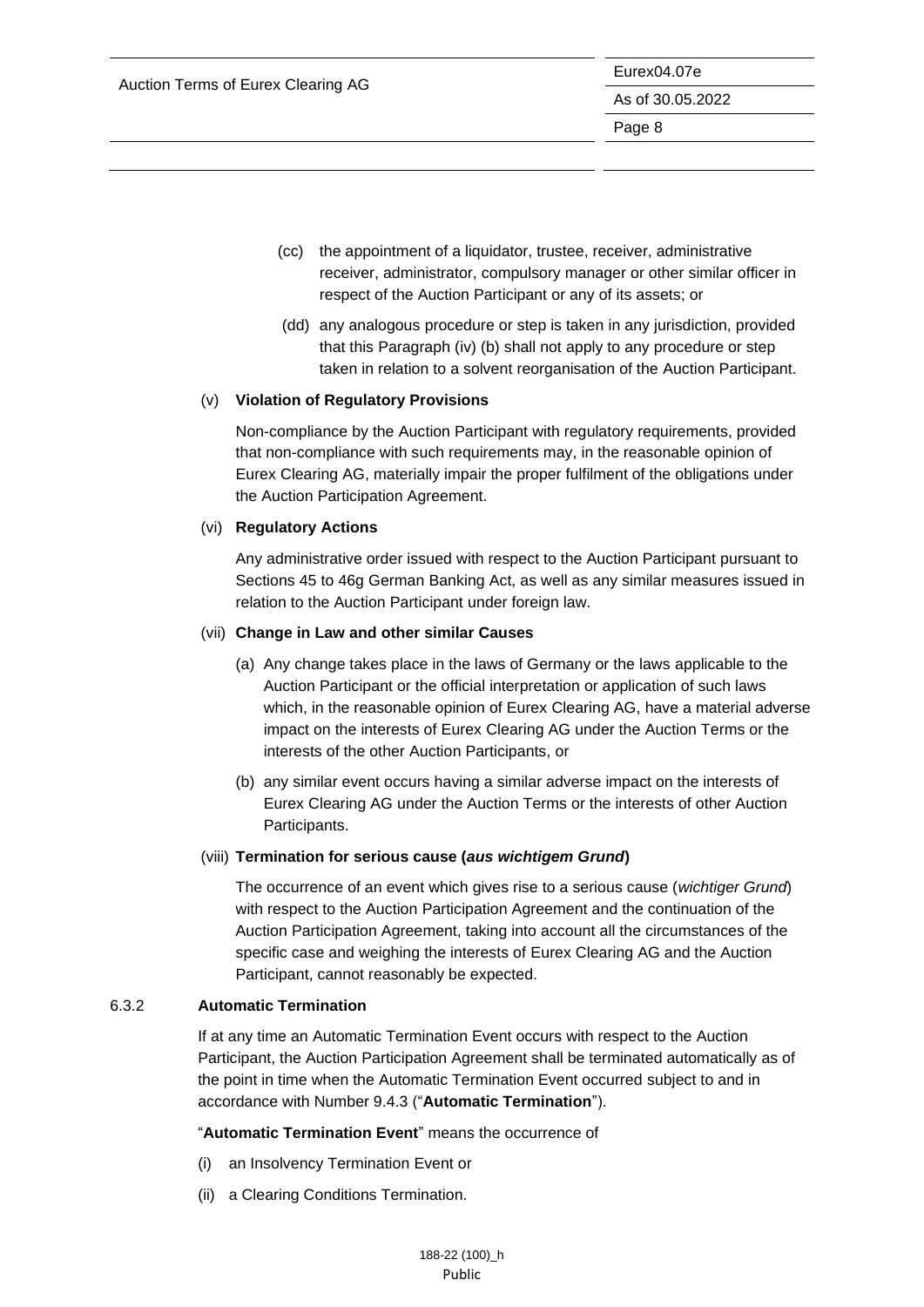- (cc) the appointment of a liquidator, trustee, receiver, administrative receiver, administrator, compulsory manager or other similar officer in respect of the Auction Participant or any of its assets; or
- (dd) any analogous procedure or step is taken in any jurisdiction, provided that this Paragraph (iv) (b) shall not apply to any procedure or step taken in relation to a solvent reorganisation of the Auction Participant.

### (v) **Violation of Regulatory Provisions**

Non-compliance by the Auction Participant with regulatory requirements, provided that non-compliance with such requirements may, in the reasonable opinion of Eurex Clearing AG, materially impair the proper fulfilment of the obligations under the Auction Participation Agreement.

### (vi) **Regulatory Actions**

Any administrative order issued with respect to the Auction Participant pursuant to Sections 45 to 46g German Banking Act, as well as any similar measures issued in relation to the Auction Participant under foreign law.

### (vii) **Change in Law and other similar Causes**

- (a) Any change takes place in the laws of Germany or the laws applicable to the Auction Participant or the official interpretation or application of such laws which, in the reasonable opinion of Eurex Clearing AG, have a material adverse impact on the interests of Eurex Clearing AG under the Auction Terms or the interests of the other Auction Participants, or
- (b) any similar event occurs having a similar adverse impact on the interests of Eurex Clearing AG under the Auction Terms or the interests of other Auction Participants.

### (viii) **Termination for serious cause (***aus wichtigem Grund***)**

The occurrence of an event which gives rise to a serious cause (*wichtiger Grund*) with respect to the Auction Participation Agreement and the continuation of the Auction Participation Agreement, taking into account all the circumstances of the specific case and weighing the interests of Eurex Clearing AG and the Auction Participant, cannot reasonably be expected.

### 6.3.2 **Automatic Termination**

If at any time an Automatic Termination Event occurs with respect to the Auction Participant, the Auction Participation Agreement shall be terminated automatically as of the point in time when the Automatic Termination Event occurred subject to and in accordance with Number 9.4.3 ("**Automatic Termination**").

"**Automatic Termination Event**" means the occurrence of

- (i) an Insolvency Termination Event or
- (ii) a Clearing Conditions Termination.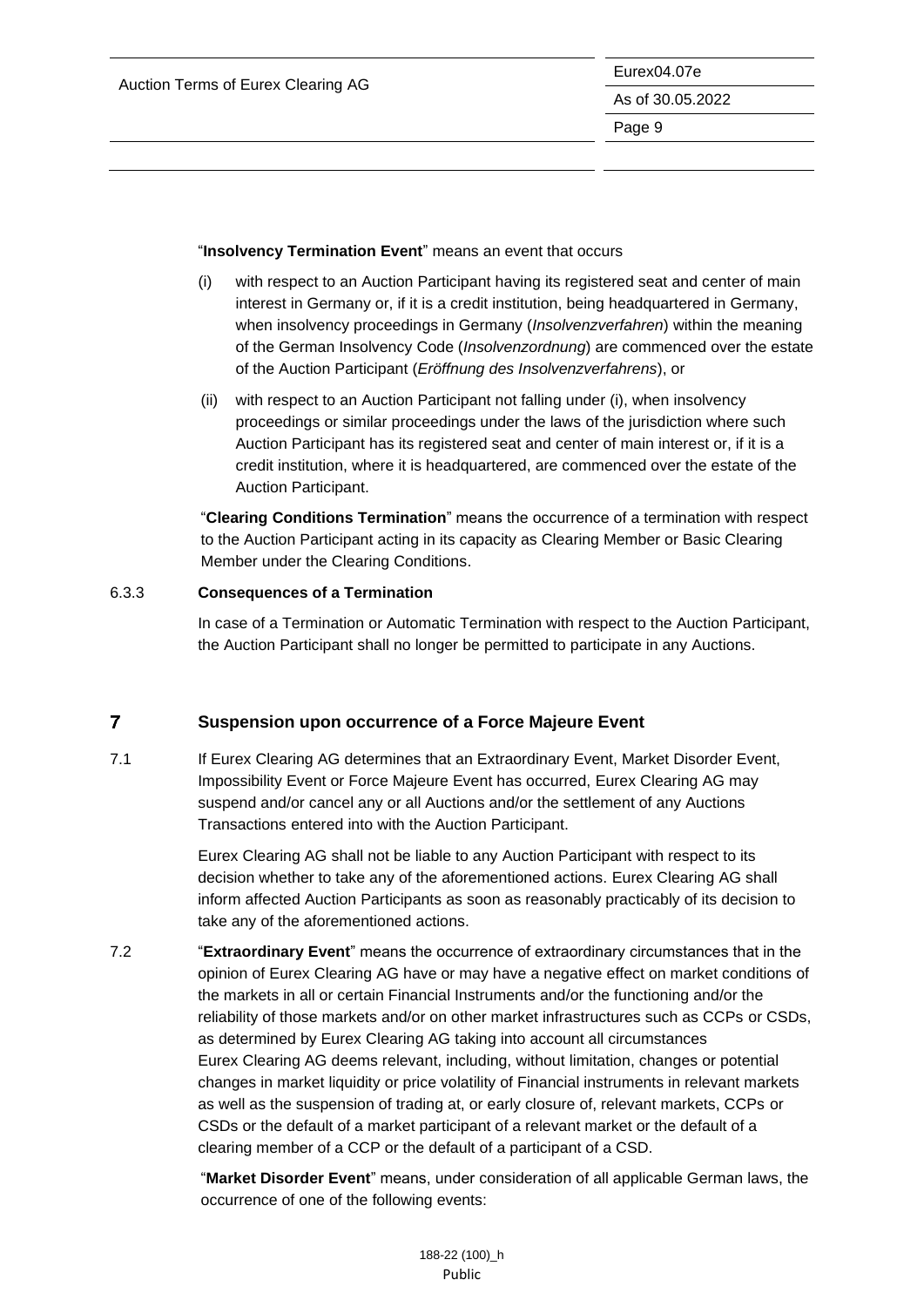#### "**Insolvency Termination Event**" means an event that occurs

- (i) with respect to an Auction Participant having its registered seat and center of main interest in Germany or, if it is a credit institution, being headquartered in Germany, when insolvency proceedings in Germany (*Insolvenzverfahren*) within the meaning of the German Insolvency Code (*Insolvenzordnung*) are commenced over the estate of the Auction Participant (*Eröffnung des Insolvenzverfahrens*), or
- (ii) with respect to an Auction Participant not falling under (i), when insolvency proceedings or similar proceedings under the laws of the jurisdiction where such Auction Participant has its registered seat and center of main interest or, if it is a credit institution, where it is headquartered, are commenced over the estate of the Auction Participant.

"**Clearing Conditions Termination**" means the occurrence of a termination with respect to the Auction Participant acting in its capacity as Clearing Member or Basic Clearing Member under the Clearing Conditions.

### 6.3.3 **Consequences of a Termination**

In case of a Termination or Automatic Termination with respect to the Auction Participant, the Auction Participant shall no longer be permitted to participate in any Auctions.

#### <span id="page-9-0"></span> $\overline{7}$ **Suspension upon occurrence of a Force Majeure Event**

7.1 If Eurex Clearing AG determines that an Extraordinary Event, Market Disorder Event, Impossibility Event or Force Majeure Event has occurred, Eurex Clearing AG may suspend and/or cancel any or all Auctions and/or the settlement of any Auctions Transactions entered into with the Auction Participant.

> Eurex Clearing AG shall not be liable to any Auction Participant with respect to its decision whether to take any of the aforementioned actions. Eurex Clearing AG shall inform affected Auction Participants as soon as reasonably practicably of its decision to take any of the aforementioned actions.

7.2 "**Extraordinary Event**" means the occurrence of extraordinary circumstances that in the opinion of Eurex Clearing AG have or may have a negative effect on market conditions of the markets in all or certain Financial Instruments and/or the functioning and/or the reliability of those markets and/or on other market infrastructures such as CCPs or CSDs, as determined by Eurex Clearing AG taking into account all circumstances Eurex Clearing AG deems relevant, including, without limitation, changes or potential changes in market liquidity or price volatility of Financial instruments in relevant markets as well as the suspension of trading at, or early closure of, relevant markets, CCPs or CSDs or the default of a market participant of a relevant market or the default of a clearing member of a CCP or the default of a participant of a CSD.

> "**Market Disorder Event**" means, under consideration of all applicable German laws, the occurrence of one of the following events: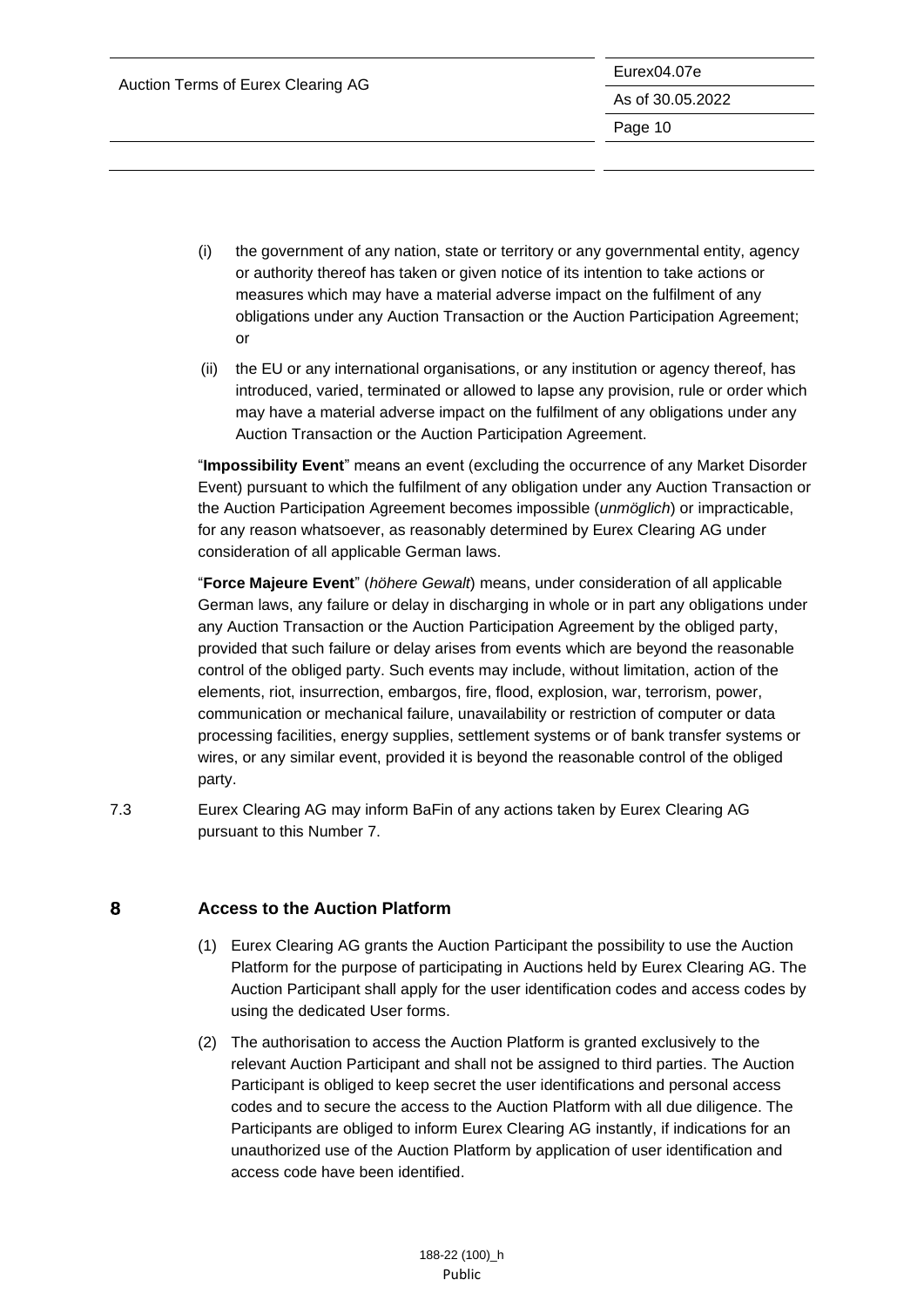- (i) the government of any nation, state or territory or any governmental entity, agency or authority thereof has taken or given notice of its intention to take actions or measures which may have a material adverse impact on the fulfilment of any obligations under any Auction Transaction or the Auction Participation Agreement; or
- (ii) the EU or any international organisations, or any institution or agency thereof, has introduced, varied, terminated or allowed to lapse any provision, rule or order which may have a material adverse impact on the fulfilment of any obligations under any Auction Transaction or the Auction Participation Agreement.

"**Impossibility Event**" means an event (excluding the occurrence of any Market Disorder Event) pursuant to which the fulfilment of any obligation under any Auction Transaction or the Auction Participation Agreement becomes impossible (*unmöglich*) or impracticable, for any reason whatsoever, as reasonably determined by Eurex Clearing AG under consideration of all applicable German laws.

"**Force Majeure Event**" (*höhere Gewalt*) means, under consideration of all applicable German laws, any failure or delay in discharging in whole or in part any obligations under any Auction Transaction or the Auction Participation Agreement by the obliged party, provided that such failure or delay arises from events which are beyond the reasonable control of the obliged party. Such events may include, without limitation, action of the elements, riot, insurrection, embargos, fire, flood, explosion, war, terrorism, power, communication or mechanical failure, unavailability or restriction of computer or data processing facilities, energy supplies, settlement systems or of bank transfer systems or wires, or any similar event, provided it is beyond the reasonable control of the obliged party.

<span id="page-10-0"></span>7.3 Eurex Clearing AG may inform BaFin of any actions taken by Eurex Clearing AG pursuant to this Number 7.

#### 8 **Access to the Auction Platform**

- (1) Eurex Clearing AG grants the Auction Participant the possibility to use the Auction Platform for the purpose of participating in Auctions held by Eurex Clearing AG. The Auction Participant shall apply for the user identification codes and access codes by using the dedicated User forms.
- (2) The authorisation to access the Auction Platform is granted exclusively to the relevant Auction Participant and shall not be assigned to third parties. The Auction Participant is obliged to keep secret the user identifications and personal access codes and to secure the access to the Auction Platform with all due diligence. The Participants are obliged to inform Eurex Clearing AG instantly, if indications for an unauthorized use of the Auction Platform by application of user identification and access code have been identified.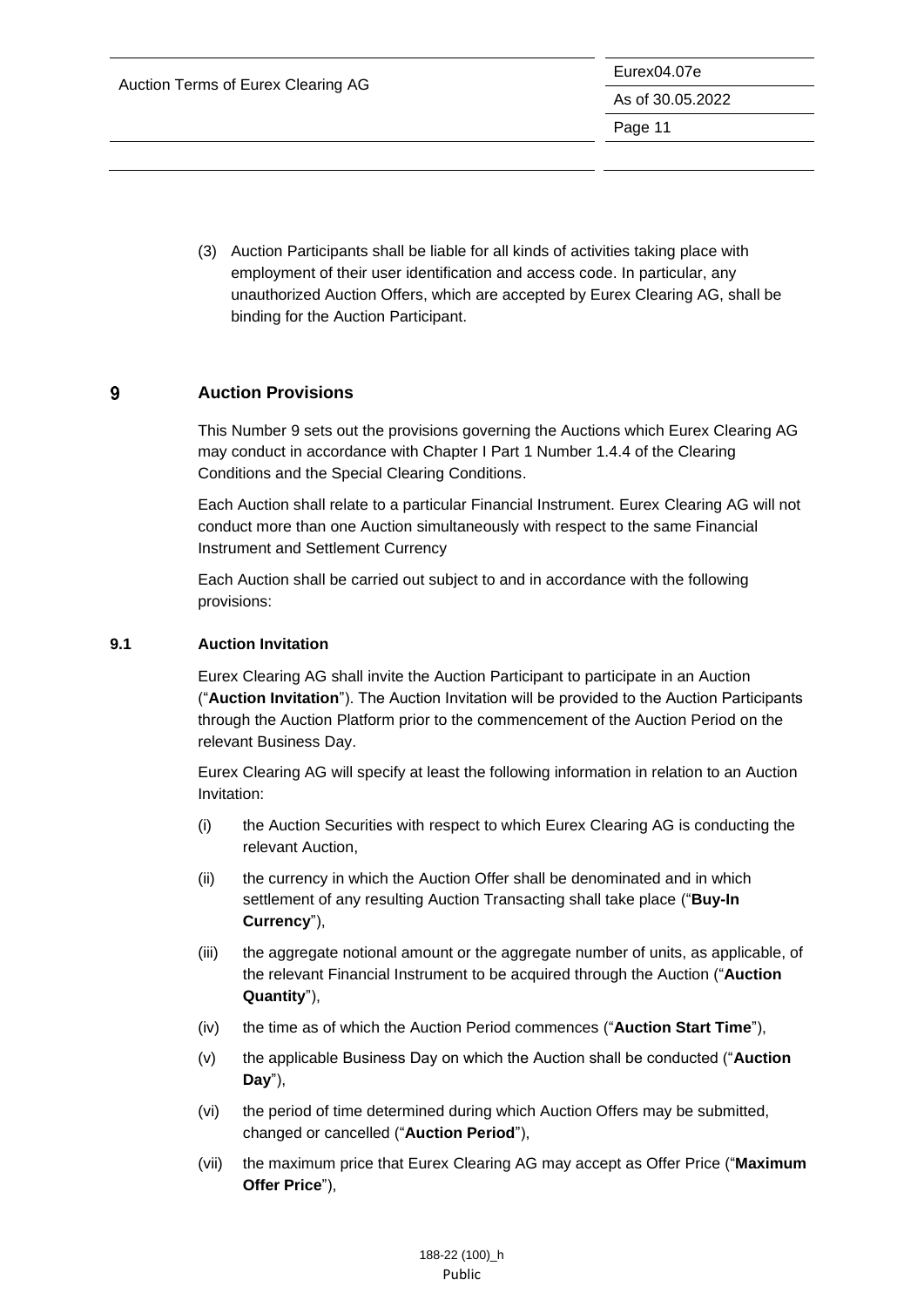(3) Auction Participants shall be liable for all kinds of activities taking place with employment of their user identification and access code. In particular, any unauthorized Auction Offers, which are accepted by Eurex Clearing AG, shall be binding for the Auction Participant.

#### <span id="page-11-0"></span> $9$ **Auction Provisions**

This Number 9 sets out the provisions governing the Auctions which Eurex Clearing AG may conduct in accordance with Chapter I Part 1 Number 1.4.4 of the Clearing Conditions and the Special Clearing Conditions.

Each Auction shall relate to a particular Financial Instrument. Eurex Clearing AG will not conduct more than one Auction simultaneously with respect to the same Financial Instrument and Settlement Currency

Each Auction shall be carried out subject to and in accordance with the following provisions:

### <span id="page-11-1"></span>**9.1 Auction Invitation**

Eurex Clearing AG shall invite the Auction Participant to participate in an Auction ("**Auction Invitation**"). The Auction Invitation will be provided to the Auction Participants through the Auction Platform prior to the commencement of the Auction Period on the relevant Business Day.

Eurex Clearing AG will specify at least the following information in relation to an Auction Invitation:

- (i) the Auction Securities with respect to which Eurex Clearing AG is conducting the relevant Auction,
- (ii) the currency in which the Auction Offer shall be denominated and in which settlement of any resulting Auction Transacting shall take place ("**Buy-In Currency**"),
- (iii) the aggregate notional amount or the aggregate number of units, as applicable, of the relevant Financial Instrument to be acquired through the Auction ("**Auction Quantity**"),
- (iv) the time as of which the Auction Period commences ("**Auction Start Time**"),
- (v) the applicable Business Day on which the Auction shall be conducted ("**Auction Day**"),
- (vi) the period of time determined during which Auction Offers may be submitted, changed or cancelled ("**Auction Period**"),
- (vii) the maximum price that Eurex Clearing AG may accept as Offer Price ("**Maximum Offer Price**"),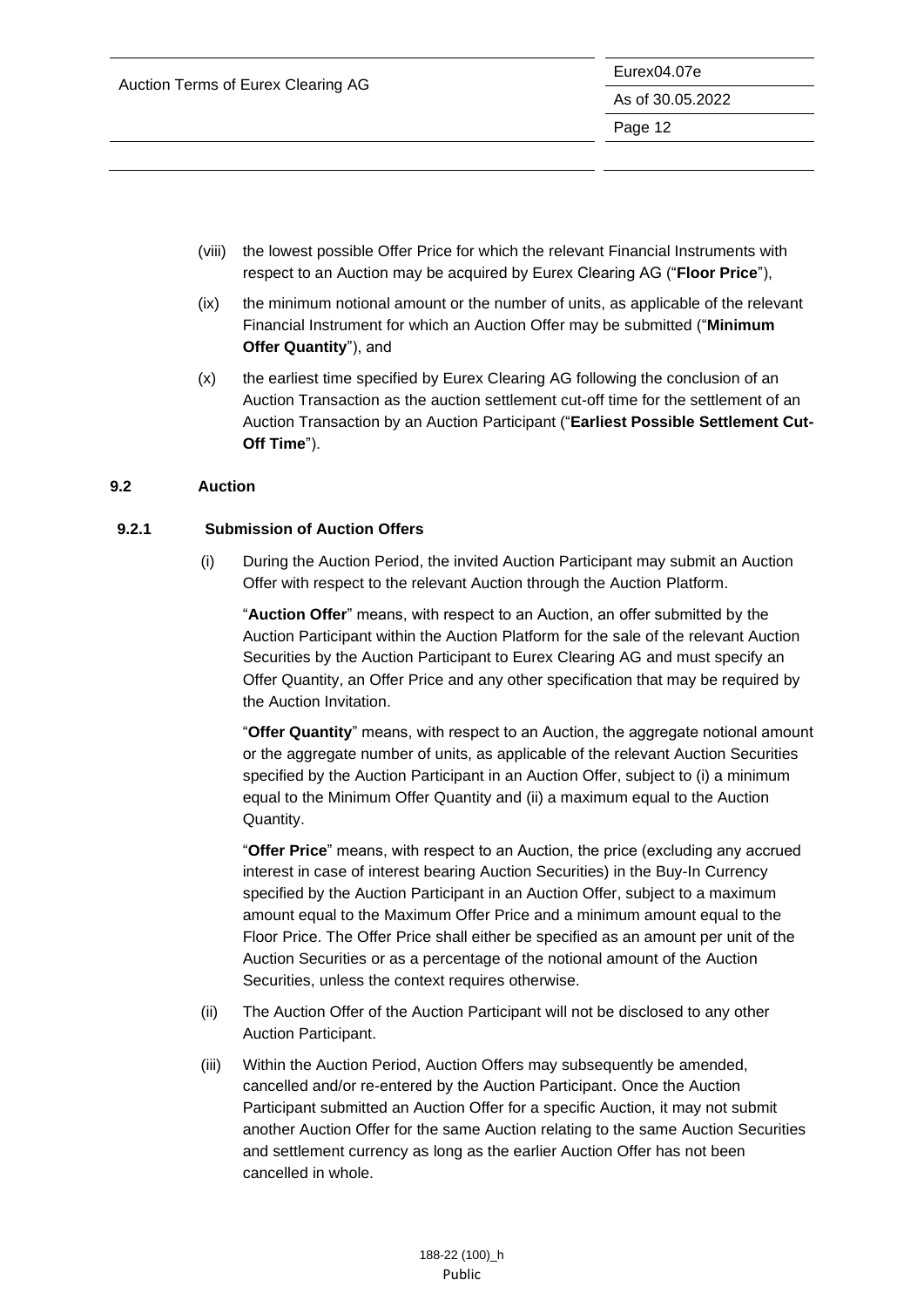- (viii) the lowest possible Offer Price for which the relevant Financial Instruments with respect to an Auction may be acquired by Eurex Clearing AG ("**Floor Price**"),
- (ix) the minimum notional amount or the number of units, as applicable of the relevant Financial Instrument for which an Auction Offer may be submitted ("**Minimum Offer Quantity**"), and
- (x) the earliest time specified by Eurex Clearing AG following the conclusion of an Auction Transaction as the auction settlement cut-off time for the settlement of an Auction Transaction by an Auction Participant ("**Earliest Possible Settlement Cut-Off Time**").

### <span id="page-12-0"></span>**9.2 Auction**

### **9.2.1 Submission of Auction Offers**

(i) During the Auction Period, the invited Auction Participant may submit an Auction Offer with respect to the relevant Auction through the Auction Platform.

"**Auction Offer**" means, with respect to an Auction, an offer submitted by the Auction Participant within the Auction Platform for the sale of the relevant Auction Securities by the Auction Participant to Eurex Clearing AG and must specify an Offer Quantity, an Offer Price and any other specification that may be required by the Auction Invitation.

"**Offer Quantity**" means, with respect to an Auction, the aggregate notional amount or the aggregate number of units, as applicable of the relevant Auction Securities specified by the Auction Participant in an Auction Offer, subject to (i) a minimum equal to the Minimum Offer Quantity and (ii) a maximum equal to the Auction Quantity.

"**Offer Price**" means, with respect to an Auction, the price (excluding any accrued interest in case of interest bearing Auction Securities) in the Buy-In Currency specified by the Auction Participant in an Auction Offer, subject to a maximum amount equal to the Maximum Offer Price and a minimum amount equal to the Floor Price. The Offer Price shall either be specified as an amount per unit of the Auction Securities or as a percentage of the notional amount of the Auction Securities, unless the context requires otherwise.

- (ii) The Auction Offer of the Auction Participant will not be disclosed to any other Auction Participant.
- (iii) Within the Auction Period, Auction Offers may subsequently be amended, cancelled and/or re-entered by the Auction Participant. Once the Auction Participant submitted an Auction Offer for a specific Auction, it may not submit another Auction Offer for the same Auction relating to the same Auction Securities and settlement currency as long as the earlier Auction Offer has not been cancelled in whole.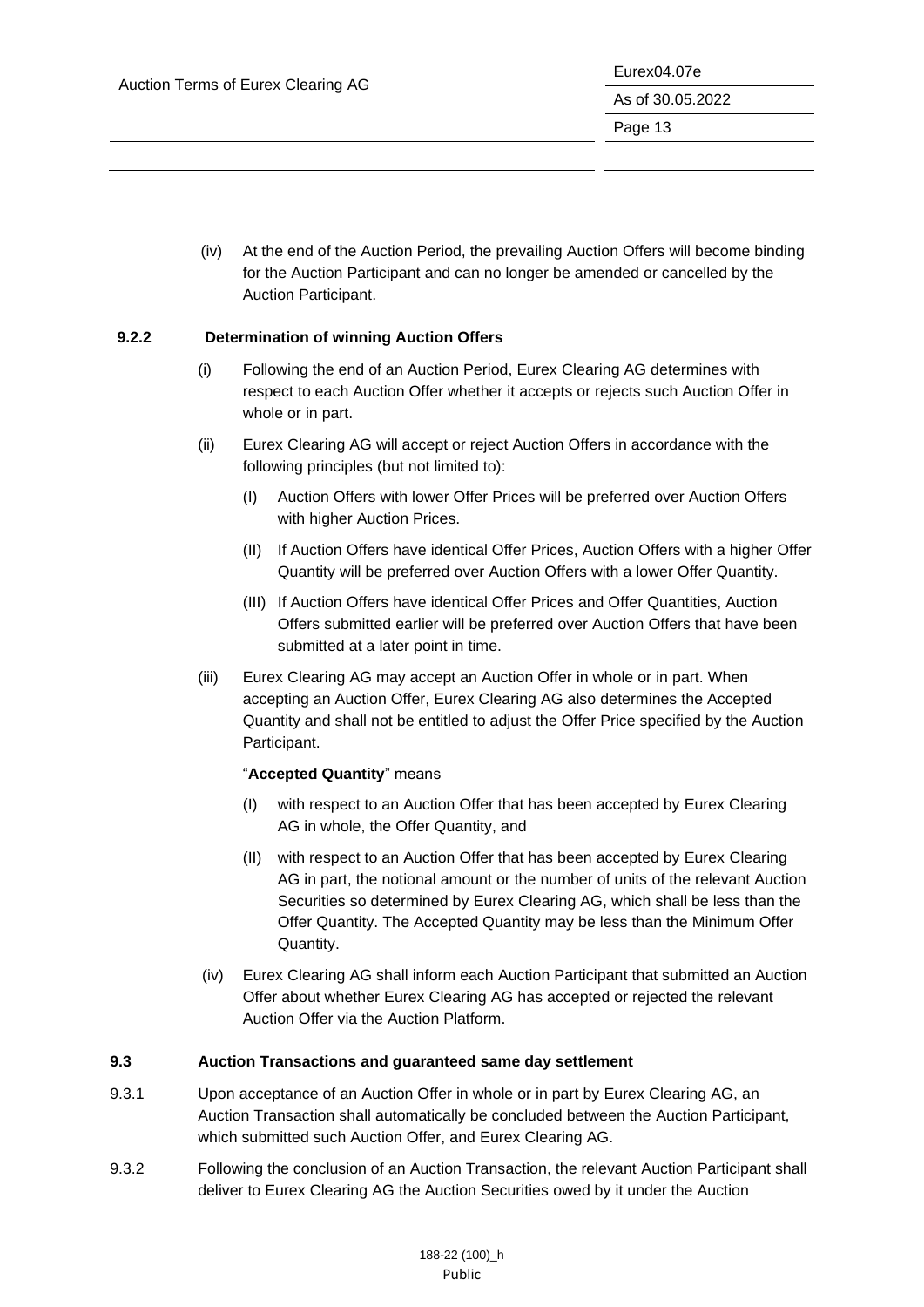(iv) At the end of the Auction Period, the prevailing Auction Offers will become binding for the Auction Participant and can no longer be amended or cancelled by the Auction Participant.

### **9.2.2 Determination of winning Auction Offers**

- (i) Following the end of an Auction Period, Eurex Clearing AG determines with respect to each Auction Offer whether it accepts or rejects such Auction Offer in whole or in part.
- (ii) Eurex Clearing AG will accept or reject Auction Offers in accordance with the following principles (but not limited to):
	- (I) Auction Offers with lower Offer Prices will be preferred over Auction Offers with higher Auction Prices.
	- (II) If Auction Offers have identical Offer Prices, Auction Offers with a higher Offer Quantity will be preferred over Auction Offers with a lower Offer Quantity.
	- (III) If Auction Offers have identical Offer Prices and Offer Quantities, Auction Offers submitted earlier will be preferred over Auction Offers that have been submitted at a later point in time.
- (iii) Eurex Clearing AG may accept an Auction Offer in whole or in part. When accepting an Auction Offer, Eurex Clearing AG also determines the Accepted Quantity and shall not be entitled to adjust the Offer Price specified by the Auction Participant.

#### "**Accepted Quantity**" means

- (I) with respect to an Auction Offer that has been accepted by Eurex Clearing AG in whole, the Offer Quantity, and
- (II) with respect to an Auction Offer that has been accepted by Eurex Clearing AG in part, the notional amount or the number of units of the relevant Auction Securities so determined by Eurex Clearing AG, which shall be less than the Offer Quantity. The Accepted Quantity may be less than the Minimum Offer Quantity.
- (iv) Eurex Clearing AG shall inform each Auction Participant that submitted an Auction Offer about whether Eurex Clearing AG has accepted or rejected the relevant Auction Offer via the Auction Platform.

#### <span id="page-13-0"></span>**9.3 Auction Transactions and guaranteed same day settlement**

- 9.3.1 Upon acceptance of an Auction Offer in whole or in part by Eurex Clearing AG, an Auction Transaction shall automatically be concluded between the Auction Participant, which submitted such Auction Offer, and Eurex Clearing AG.
- 9.3.2 Following the conclusion of an Auction Transaction, the relevant Auction Participant shall deliver to Eurex Clearing AG the Auction Securities owed by it under the Auction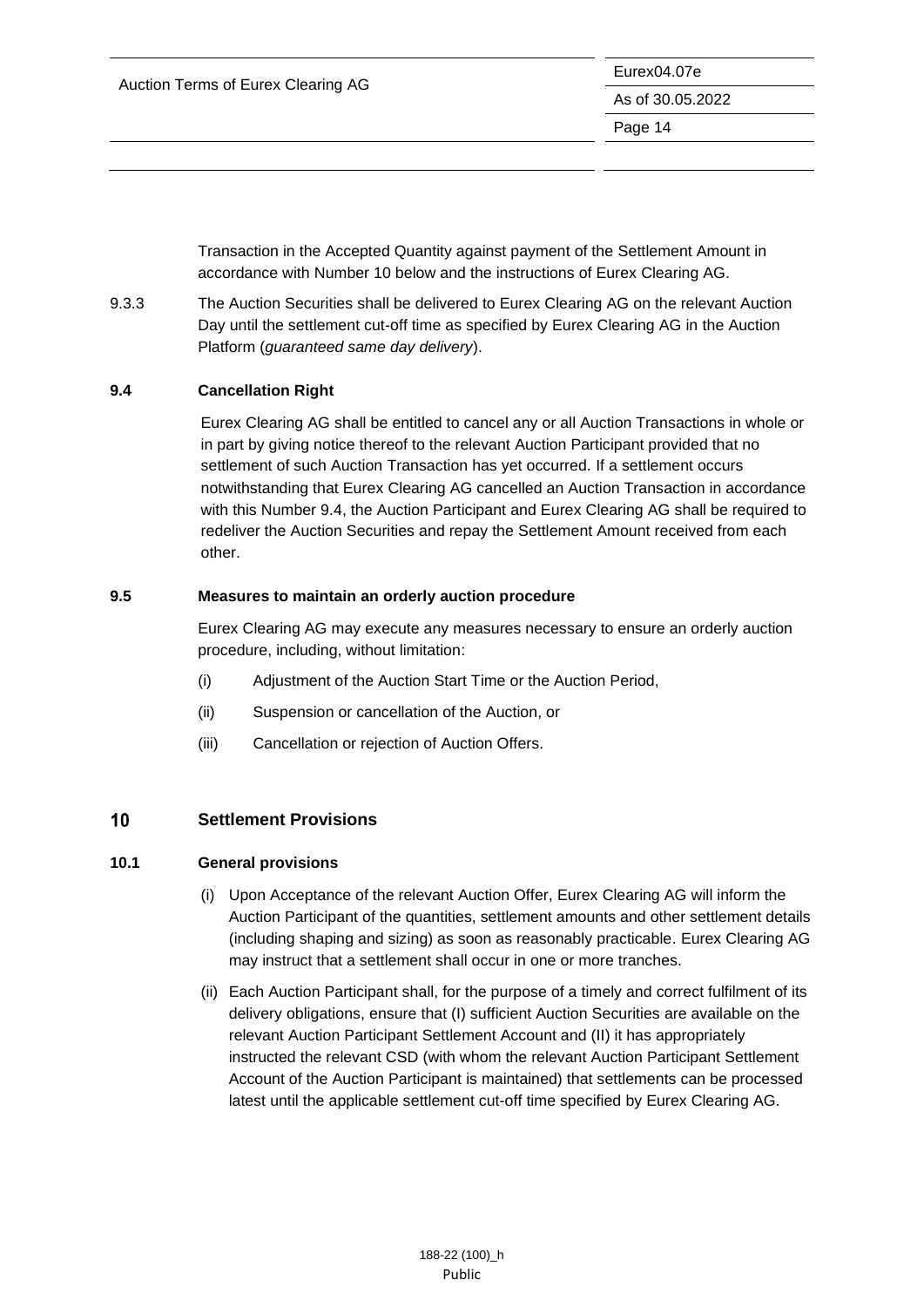Transaction in the Accepted Quantity against payment of the Settlement Amount in accordance with Number 10 below and the instructions of Eurex Clearing AG.

9.3.3 The Auction Securities shall be delivered to Eurex Clearing AG on the relevant Auction Day until the settlement cut-off time as specified by Eurex Clearing AG in the Auction Platform (*guaranteed same day delivery*).

### <span id="page-14-0"></span>**9.4 Cancellation Right**

Eurex Clearing AG shall be entitled to cancel any or all Auction Transactions in whole or in part by giving notice thereof to the relevant Auction Participant provided that no settlement of such Auction Transaction has yet occurred. If a settlement occurs notwithstanding that Eurex Clearing AG cancelled an Auction Transaction in accordance with this Number 9.4, the Auction Participant and Eurex Clearing AG shall be required to redeliver the Auction Securities and repay the Settlement Amount received from each other.

### <span id="page-14-1"></span>**9.5 Measures to maintain an orderly auction procedure**

Eurex Clearing AG may execute any measures necessary to ensure an orderly auction procedure, including, without limitation:

- (i) Adjustment of the Auction Start Time or the Auction Period,
- (ii) Suspension or cancellation of the Auction, or
- (iii) Cancellation or rejection of Auction Offers.

#### <span id="page-14-2"></span>10 **Settlement Provisions**

#### <span id="page-14-3"></span>**10.1 General provisions**

- (i) Upon Acceptance of the relevant Auction Offer, Eurex Clearing AG will inform the Auction Participant of the quantities, settlement amounts and other settlement details (including shaping and sizing) as soon as reasonably practicable. Eurex Clearing AG may instruct that a settlement shall occur in one or more tranches.
- (ii) Each Auction Participant shall, for the purpose of a timely and correct fulfilment of its delivery obligations, ensure that (I) sufficient Auction Securities are available on the relevant Auction Participant Settlement Account and (II) it has appropriately instructed the relevant CSD (with whom the relevant Auction Participant Settlement Account of the Auction Participant is maintained) that settlements can be processed latest until the applicable settlement cut-off time specified by Eurex Clearing AG.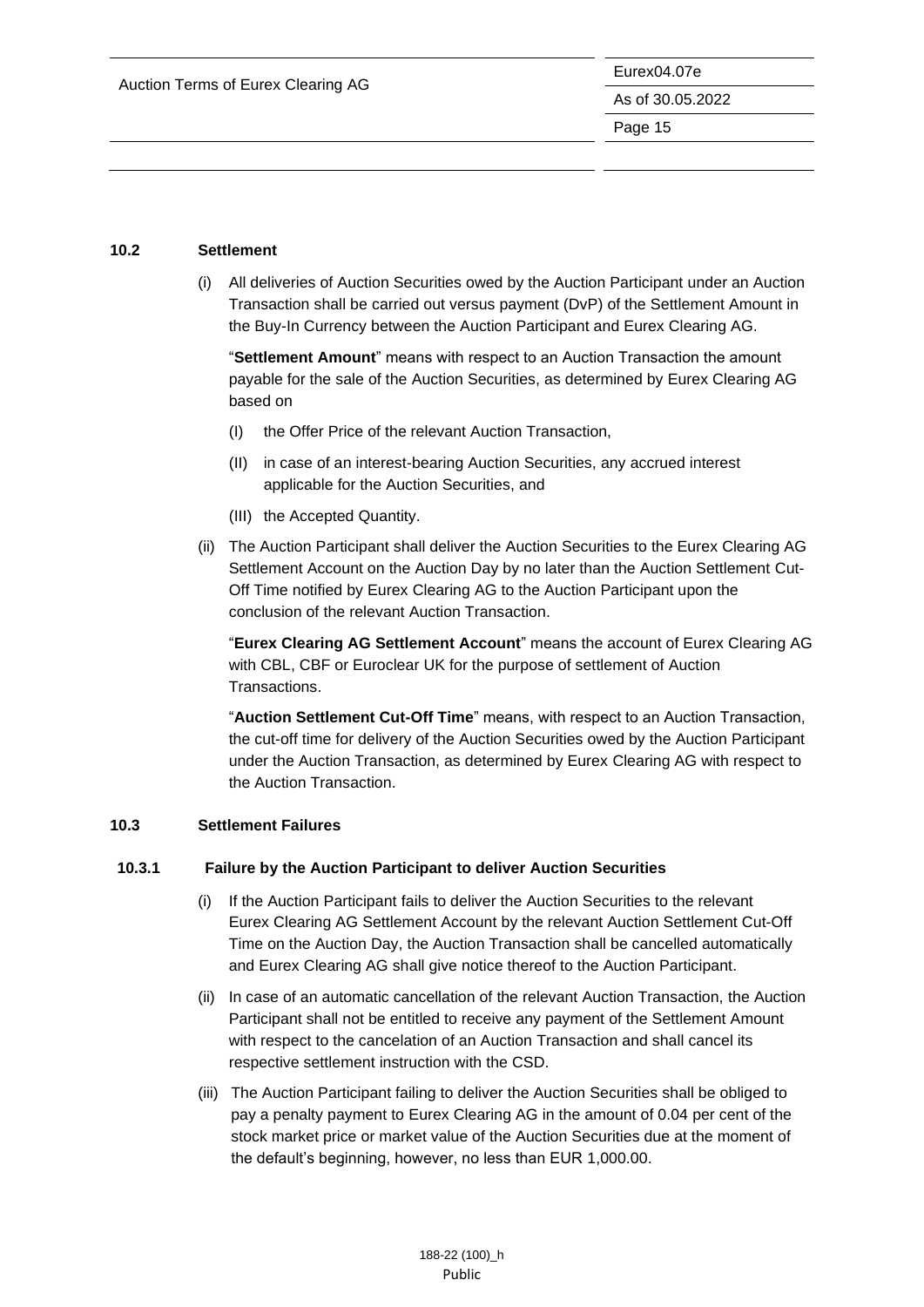#### <span id="page-15-0"></span>**10.2 Settlement**

(i) All deliveries of Auction Securities owed by the Auction Participant under an Auction Transaction shall be carried out versus payment (DvP) of the Settlement Amount in the Buy-In Currency between the Auction Participant and Eurex Clearing AG.

"**Settlement Amount**" means with respect to an Auction Transaction the amount payable for the sale of the Auction Securities, as determined by Eurex Clearing AG based on

- (I) the Offer Price of the relevant Auction Transaction,
- (II) in case of an interest-bearing Auction Securities, any accrued interest applicable for the Auction Securities, and
- (III) the Accepted Quantity.
- (ii) The Auction Participant shall deliver the Auction Securities to the Eurex Clearing AG Settlement Account on the Auction Day by no later than the Auction Settlement Cut-Off Time notified by Eurex Clearing AG to the Auction Participant upon the conclusion of the relevant Auction Transaction.

"**Eurex Clearing AG Settlement Account**" means the account of Eurex Clearing AG with CBL, CBF or Euroclear UK for the purpose of settlement of Auction Transactions.

"**Auction Settlement Cut-Off Time**" means, with respect to an Auction Transaction, the cut-off time for delivery of the Auction Securities owed by the Auction Participant under the Auction Transaction, as determined by Eurex Clearing AG with respect to the Auction Transaction.

#### <span id="page-15-1"></span>**10.3 Settlement Failures**

#### **10.3.1 Failure by the Auction Participant to deliver Auction Securities**

- (i) If the Auction Participant fails to deliver the Auction Securities to the relevant Eurex Clearing AG Settlement Account by the relevant Auction Settlement Cut-Off Time on the Auction Day, the Auction Transaction shall be cancelled automatically and Eurex Clearing AG shall give notice thereof to the Auction Participant.
- (ii) In case of an automatic cancellation of the relevant Auction Transaction, the Auction Participant shall not be entitled to receive any payment of the Settlement Amount with respect to the cancelation of an Auction Transaction and shall cancel its respective settlement instruction with the CSD.
- (iii) The Auction Participant failing to deliver the Auction Securities shall be obliged to pay a penalty payment to Eurex Clearing AG in the amount of 0.04 per cent of the stock market price or market value of the Auction Securities due at the moment of the default's beginning, however, no less than EUR 1,000.00.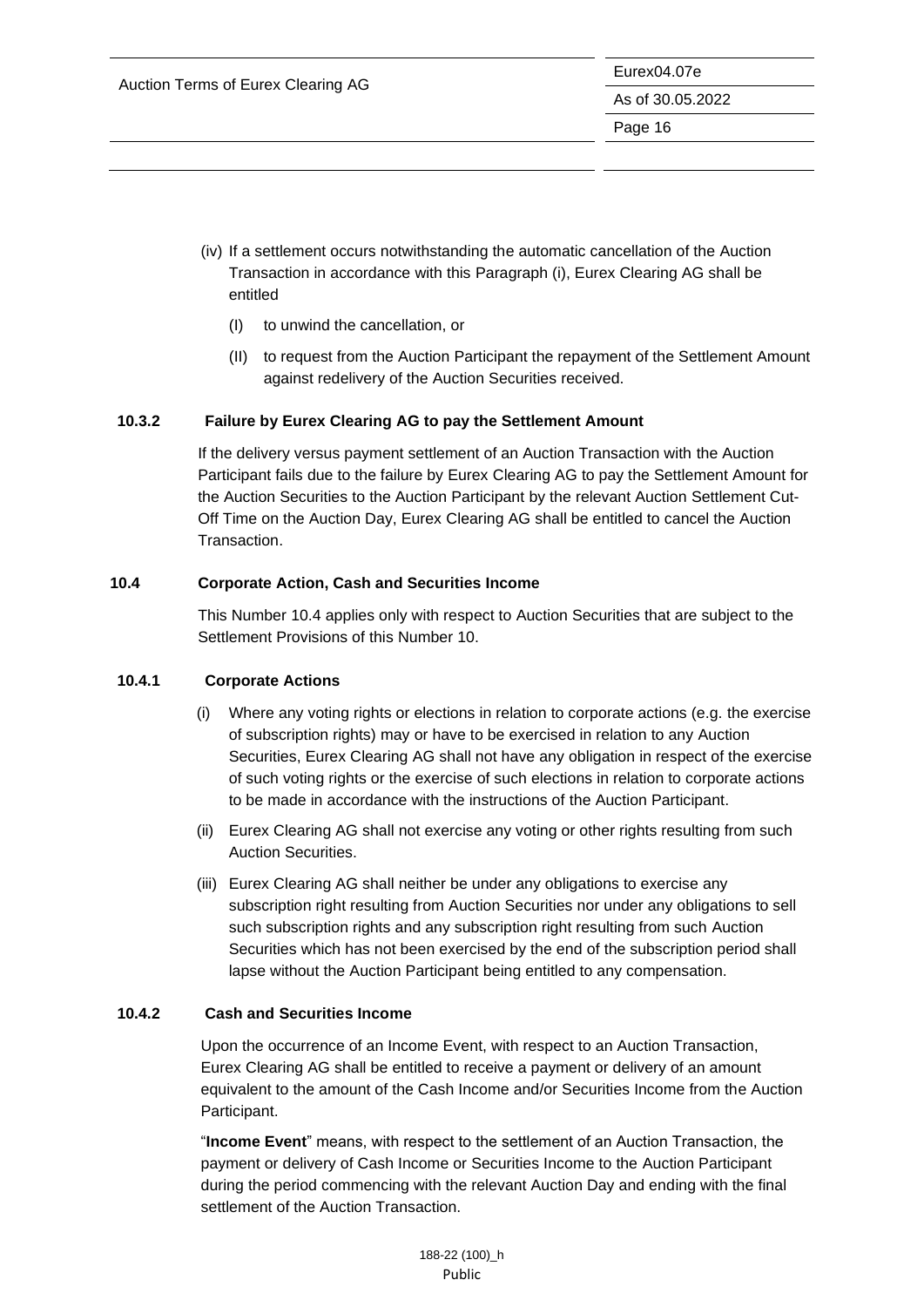- (iv) If a settlement occurs notwithstanding the automatic cancellation of the Auction Transaction in accordance with this Paragraph (i), Eurex Clearing AG shall be entitled
	- (I) to unwind the cancellation, or
	- (II) to request from the Auction Participant the repayment of the Settlement Amount against redelivery of the Auction Securities received.

### **10.3.2 Failure by Eurex Clearing AG to pay the Settlement Amount**

If the delivery versus payment settlement of an Auction Transaction with the Auction Participant fails due to the failure by Eurex Clearing AG to pay the Settlement Amount for the Auction Securities to the Auction Participant by the relevant Auction Settlement Cut-Off Time on the Auction Day, Eurex Clearing AG shall be entitled to cancel the Auction Transaction.

### <span id="page-16-0"></span>**10.4 Corporate Action, Cash and Securities Income**

This Number 10.4 applies only with respect to Auction Securities that are subject to the Settlement Provisions of this Number 10.

#### **10.4.1 Corporate Actions**

- (i) Where any voting rights or elections in relation to corporate actions (e.g. the exercise of subscription rights) may or have to be exercised in relation to any Auction Securities, Eurex Clearing AG shall not have any obligation in respect of the exercise of such voting rights or the exercise of such elections in relation to corporate actions to be made in accordance with the instructions of the Auction Participant.
- (ii) Eurex Clearing AG shall not exercise any voting or other rights resulting from such Auction Securities.
- (iii) Eurex Clearing AG shall neither be under any obligations to exercise any subscription right resulting from Auction Securities nor under any obligations to sell such subscription rights and any subscription right resulting from such Auction Securities which has not been exercised by the end of the subscription period shall lapse without the Auction Participant being entitled to any compensation.

#### **10.4.2 Cash and Securities Income**

Upon the occurrence of an Income Event, with respect to an Auction Transaction, Eurex Clearing AG shall be entitled to receive a payment or delivery of an amount equivalent to the amount of the Cash Income and/or Securities Income from the Auction Participant.

"**Income Event**" means, with respect to the settlement of an Auction Transaction, the payment or delivery of Cash Income or Securities Income to the Auction Participant during the period commencing with the relevant Auction Day and ending with the final settlement of the Auction Transaction.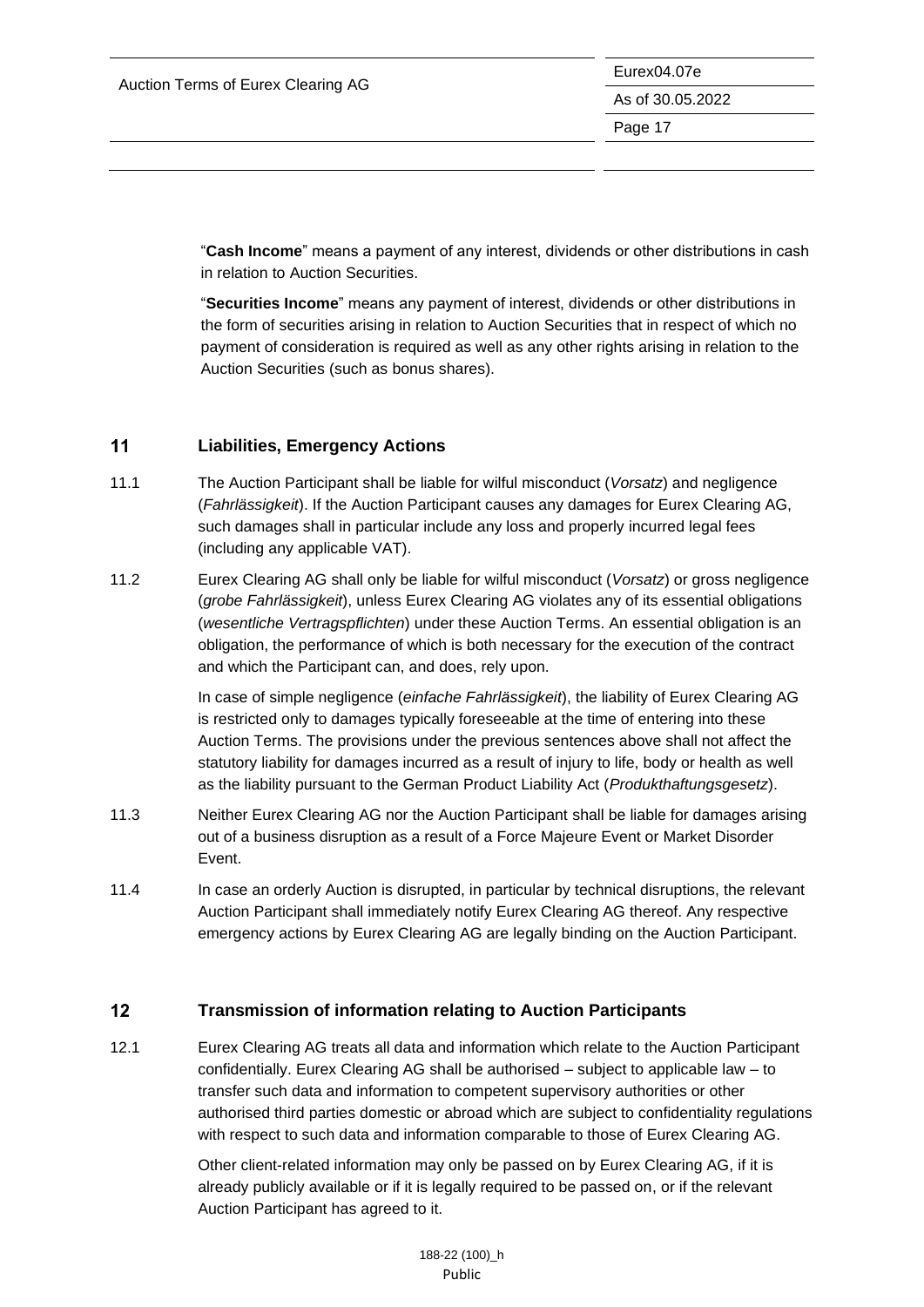"**Cash Income**" means a payment of any interest, dividends or other distributions in cash in relation to Auction Securities.

"**Securities Income**" means any payment of interest, dividends or other distributions in the form of securities arising in relation to Auction Securities that in respect of which no payment of consideration is required as well as any other rights arising in relation to the Auction Securities (such as bonus shares).

#### <span id="page-17-0"></span> $11$ **Liabilities, Emergency Actions**

- 11.1 The Auction Participant shall be liable for wilful misconduct (*Vorsatz*) and negligence (*Fahrlässigkeit*). If the Auction Participant causes any damages for Eurex Clearing AG, such damages shall in particular include any loss and properly incurred legal fees (including any applicable VAT).
- 11.2 Eurex Clearing AG shall only be liable for wilful misconduct (*Vorsatz*) or gross negligence (*grobe Fahrlässigkeit*), unless Eurex Clearing AG violates any of its essential obligations (*wesentliche Vertragspflichten*) under these Auction Terms. An essential obligation is an obligation, the performance of which is both necessary for the execution of the contract and which the Participant can, and does, rely upon.

In case of simple negligence (*einfache Fahrlässigkeit*), the liability of Eurex Clearing AG is restricted only to damages typically foreseeable at the time of entering into these Auction Terms. The provisions under the previous sentences above shall not affect the statutory liability for damages incurred as a result of injury to life, body or health as well as the liability pursuant to the German Product Liability Act (*Produkthaftungsgesetz*).

- 11.3 Neither Eurex Clearing AG nor the Auction Participant shall be liable for damages arising out of a business disruption as a result of a Force Majeure Event or Market Disorder Event.
- 11.4 In case an orderly Auction is disrupted, in particular by technical disruptions, the relevant Auction Participant shall immediately notify Eurex Clearing AG thereof. Any respective emergency actions by Eurex Clearing AG are legally binding on the Auction Participant.

#### <span id="page-17-1"></span> $12$ **Transmission of information relating to Auction Participants**

12.1 Eurex Clearing AG treats all data and information which relate to the Auction Participant confidentially. Eurex Clearing AG shall be authorised – subject to applicable law – to transfer such data and information to competent supervisory authorities or other authorised third parties domestic or abroad which are subject to confidentiality regulations with respect to such data and information comparable to those of Eurex Clearing AG.

> Other client-related information may only be passed on by Eurex Clearing AG, if it is already publicly available or if it is legally required to be passed on, or if the relevant Auction Participant has agreed to it.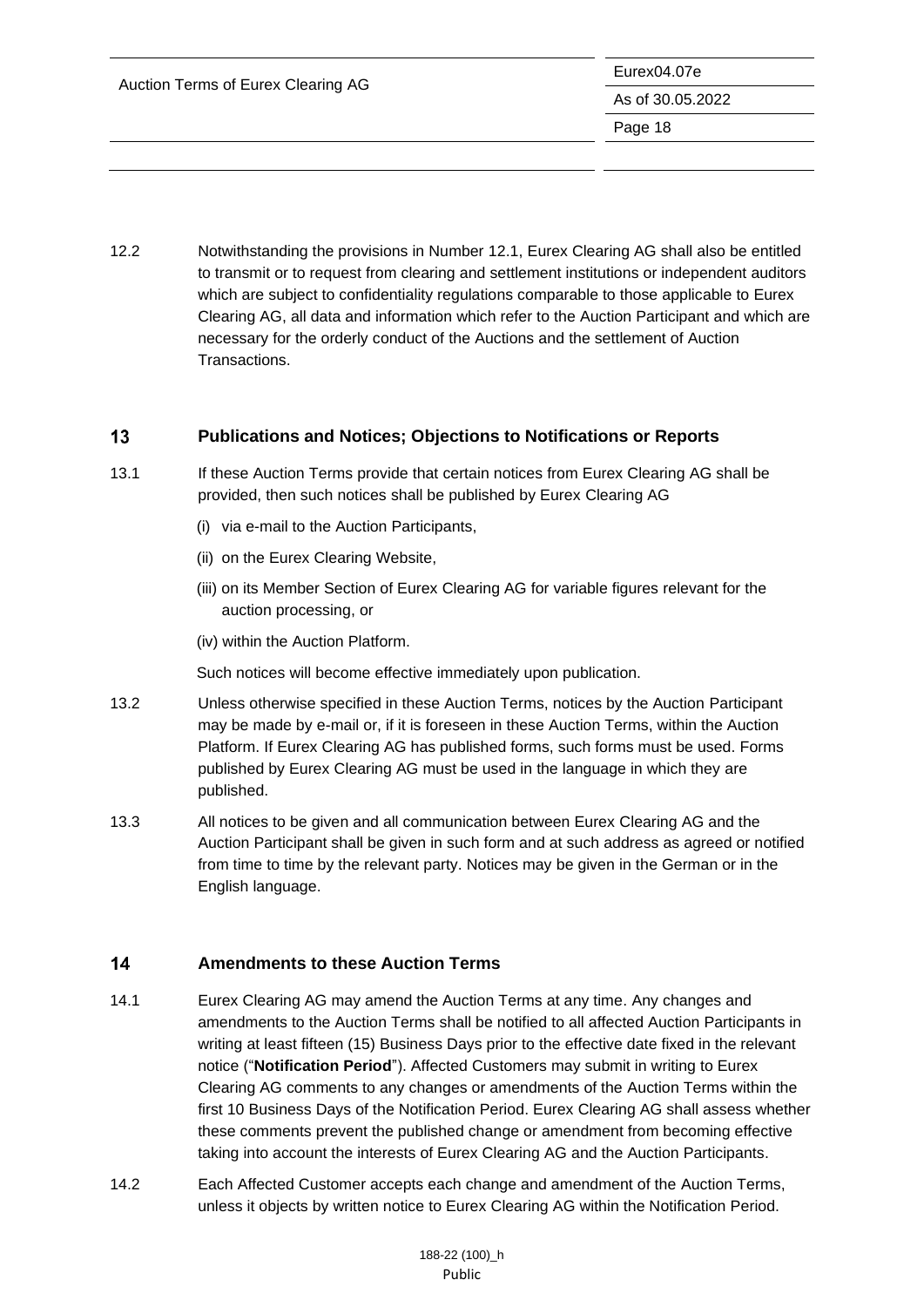12.2 Notwithstanding the provisions in Number 12.1, Eurex Clearing AG shall also be entitled to transmit or to request from clearing and settlement institutions or independent auditors which are subject to confidentiality regulations comparable to those applicable to Eurex Clearing AG, all data and information which refer to the Auction Participant and which are necessary for the orderly conduct of the Auctions and the settlement of Auction Transactions.

#### <span id="page-18-0"></span> $13$ **Publications and Notices; Objections to Notifications or Reports**

- 13.1 If these Auction Terms provide that certain notices from Eurex Clearing AG shall be provided, then such notices shall be published by Eurex Clearing AG
	- (i) via e-mail to the Auction Participants,
	- (ii) on the Eurex Clearing Website,
	- (iii) on its Member Section of Eurex Clearing AG for variable figures relevant for the auction processing, or
	- (iv) within the Auction Platform.

Such notices will become effective immediately upon publication.

- 13.2 Unless otherwise specified in these Auction Terms, notices by the Auction Participant may be made by e-mail or, if it is foreseen in these Auction Terms, within the Auction Platform. If Eurex Clearing AG has published forms, such forms must be used. Forms published by Eurex Clearing AG must be used in the language in which they are published.
- 13.3 All notices to be given and all communication between Eurex Clearing AG and the Auction Participant shall be given in such form and at such address as agreed or notified from time to time by the relevant party. Notices may be given in the German or in the English language.

#### <span id="page-18-1"></span> $14$ **Amendments to these Auction Terms**

- 14.1 Eurex Clearing AG may amend the Auction Terms at any time. Any changes and amendments to the Auction Terms shall be notified to all affected Auction Participants in writing at least fifteen (15) Business Days prior to the effective date fixed in the relevant notice ("**Notification Period**"). Affected Customers may submit in writing to Eurex Clearing AG comments to any changes or amendments of the Auction Terms within the first 10 Business Days of the Notification Period. Eurex Clearing AG shall assess whether these comments prevent the published change or amendment from becoming effective taking into account the interests of Eurex Clearing AG and the Auction Participants.
- 14.2 Each Affected Customer accepts each change and amendment of the Auction Terms, unless it objects by written notice to Eurex Clearing AG within the Notification Period.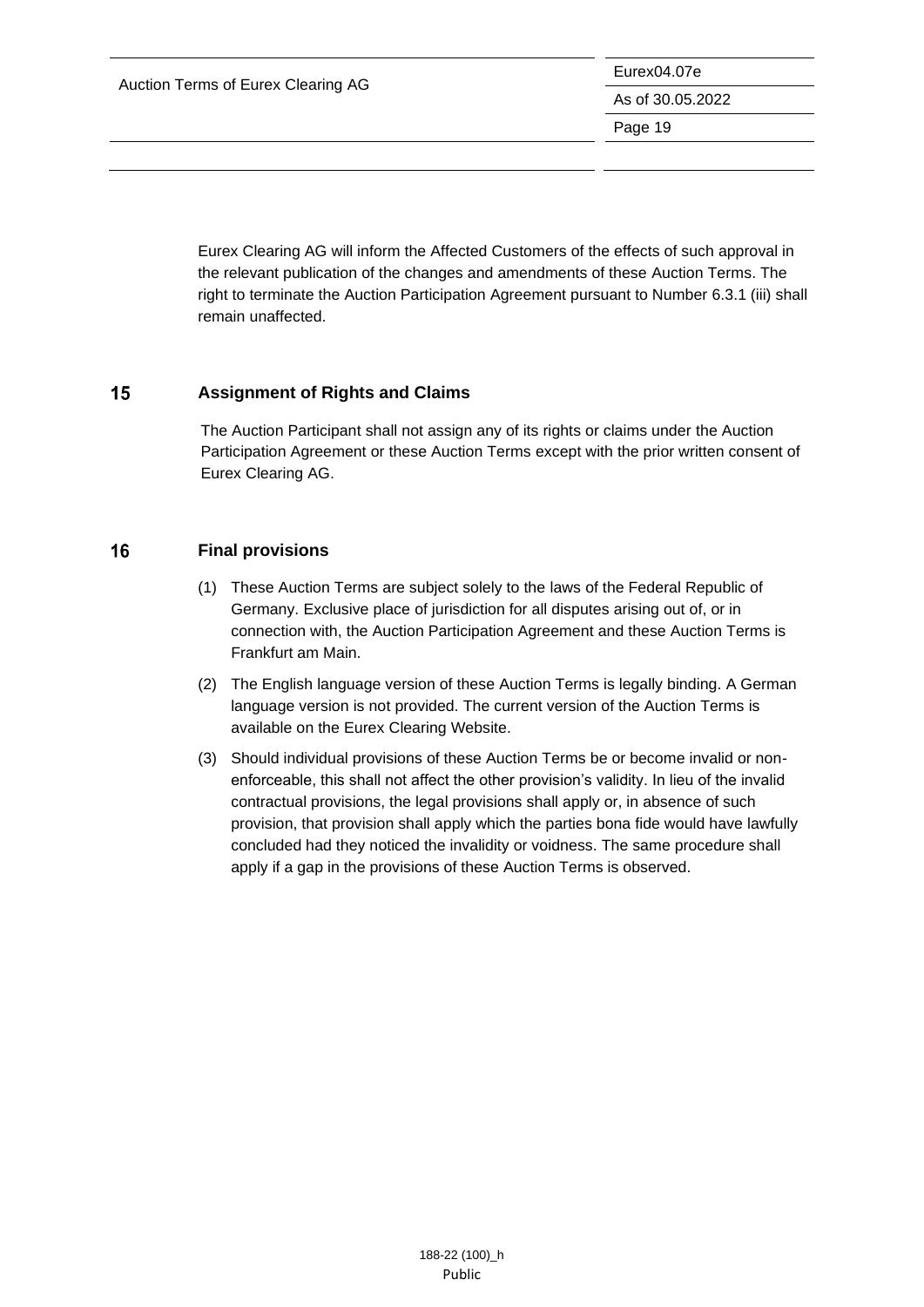Auction Terms of Eurex Clearing AG

Eurex04.07e As of 30.05.2022 Page 19

Eurex Clearing AG will inform the Affected Customers of the effects of such approval in the relevant publication of the changes and amendments of these Auction Terms. The right to terminate the Auction Participation Agreement pursuant to Number 6.3.1 (iii) shall remain unaffected.

#### <span id="page-19-0"></span>15 **Assignment of Rights and Claims**

The Auction Participant shall not assign any of its rights or claims under the Auction Participation Agreement or these Auction Terms except with the prior written consent of Eurex Clearing AG.

#### <span id="page-19-1"></span>16 **Final provisions**

- (1) These Auction Terms are subject solely to the laws of the Federal Republic of Germany. Exclusive place of jurisdiction for all disputes arising out of, or in connection with, the Auction Participation Agreement and these Auction Terms is Frankfurt am Main.
- (2) The English language version of these Auction Terms is legally binding. A German language version is not provided. The current version of the Auction Terms is available on the Eurex Clearing Website.
- (3) Should individual provisions of these Auction Terms be or become invalid or nonenforceable, this shall not affect the other provision's validity. In lieu of the invalid contractual provisions, the legal provisions shall apply or, in absence of such provision, that provision shall apply which the parties bona fide would have lawfully concluded had they noticed the invalidity or voidness. The same procedure shall apply if a gap in the provisions of these Auction Terms is observed.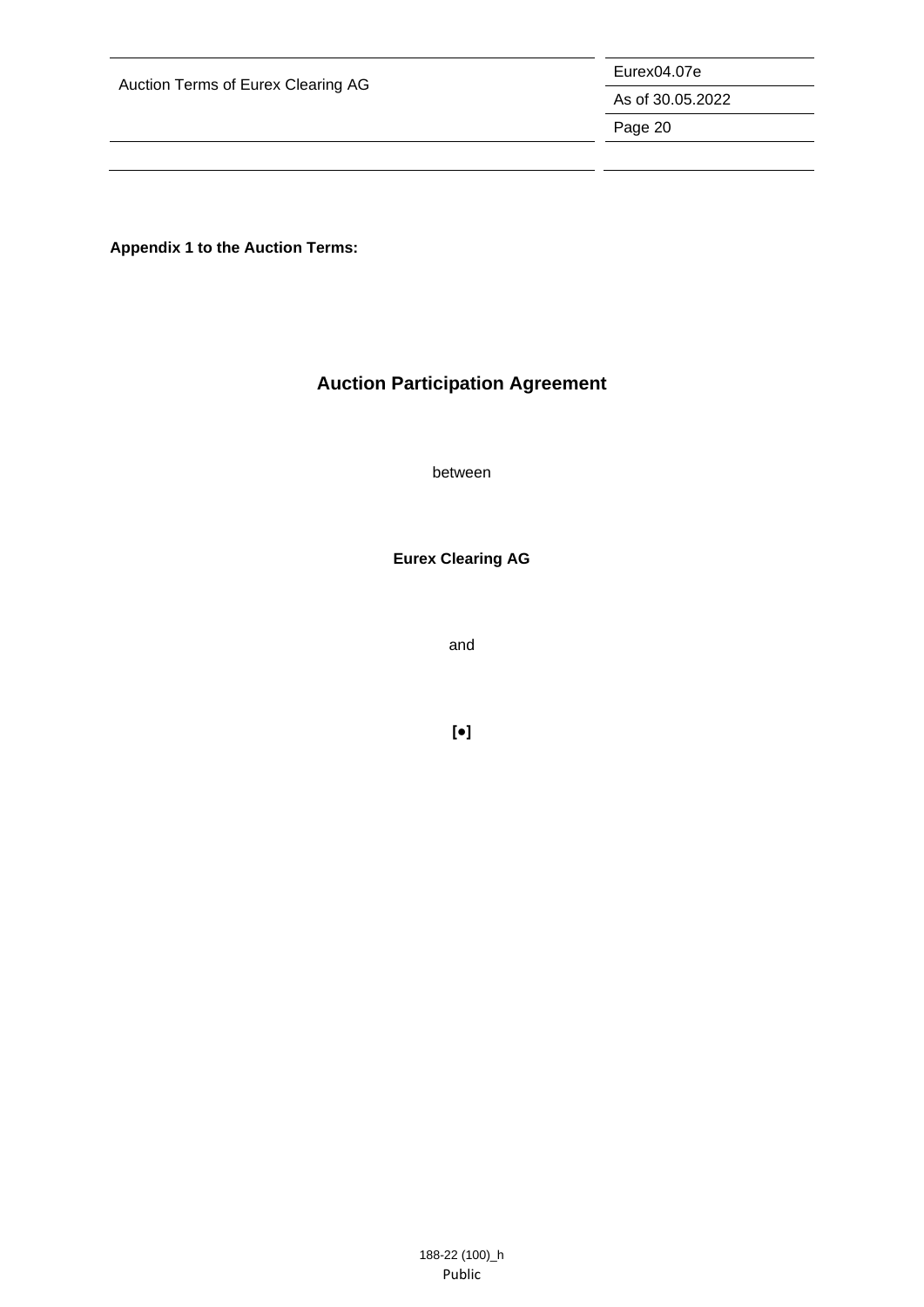Auction Terms of Eurex Clearing AG

Eurex04.07e

As of 30.05.2022

Page 20

**Appendix 1 to the Auction Terms:**

# **Auction Participation Agreement**

between

**Eurex Clearing AG**

and

**[●]**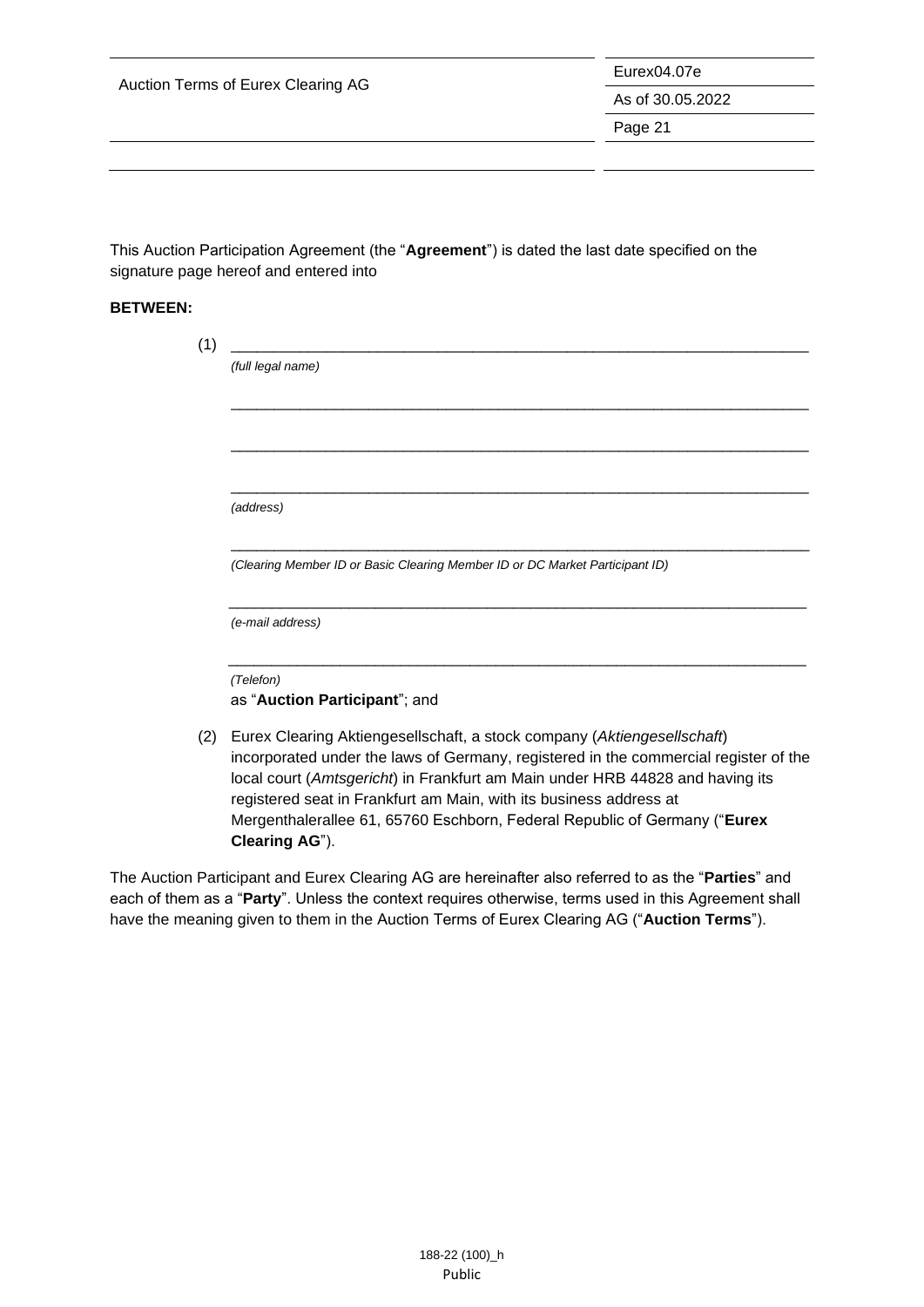|  |  |  |  | Auction Terms of Eurex Clearing AG |  |
|--|--|--|--|------------------------------------|--|
|--|--|--|--|------------------------------------|--|

Eurex04.07e

As of 30.05.2022

Page 21

This Auction Participation Agreement (the "**Agreement**") is dated the last date specified on the signature page hereof and entered into

#### **BETWEEN:**

|                                                                              | (full legal name)                                                                                                                                                                                                                    |  |  |  |
|------------------------------------------------------------------------------|--------------------------------------------------------------------------------------------------------------------------------------------------------------------------------------------------------------------------------------|--|--|--|
|                                                                              |                                                                                                                                                                                                                                      |  |  |  |
|                                                                              |                                                                                                                                                                                                                                      |  |  |  |
|                                                                              |                                                                                                                                                                                                                                      |  |  |  |
|                                                                              | (address)                                                                                                                                                                                                                            |  |  |  |
| (Clearing Member ID or Basic Clearing Member ID or DC Market Participant ID) |                                                                                                                                                                                                                                      |  |  |  |
|                                                                              | (e-mail address)                                                                                                                                                                                                                     |  |  |  |
|                                                                              | (Telefon)                                                                                                                                                                                                                            |  |  |  |
|                                                                              | as "Auction Participant"; and                                                                                                                                                                                                        |  |  |  |
|                                                                              | Eurex Clearing Aktiengesellschaft, a stock company (Aktiengesellschaft)                                                                                                                                                              |  |  |  |
|                                                                              | <u>is and the second in the second in the second in the second in the second in the second in the second in the second in the second in the second in the second in the second in the second in the second in the second in the </u> |  |  |  |

incorporated under the laws of Germany, registered in the commercial register of the local court (*Amtsgericht*) in Frankfurt am Main under HRB 44828 and having its registered seat in Frankfurt am Main, with its business address at Mergenthalerallee 61, 65760 Eschborn, Federal Republic of Germany ("**Eurex Clearing AG**").

The Auction Participant and Eurex Clearing AG are hereinafter also referred to as the "**Parties**" and each of them as a "**Party**". Unless the context requires otherwise, terms used in this Agreement shall have the meaning given to them in the Auction Terms of Eurex Clearing AG ("**Auction Terms**").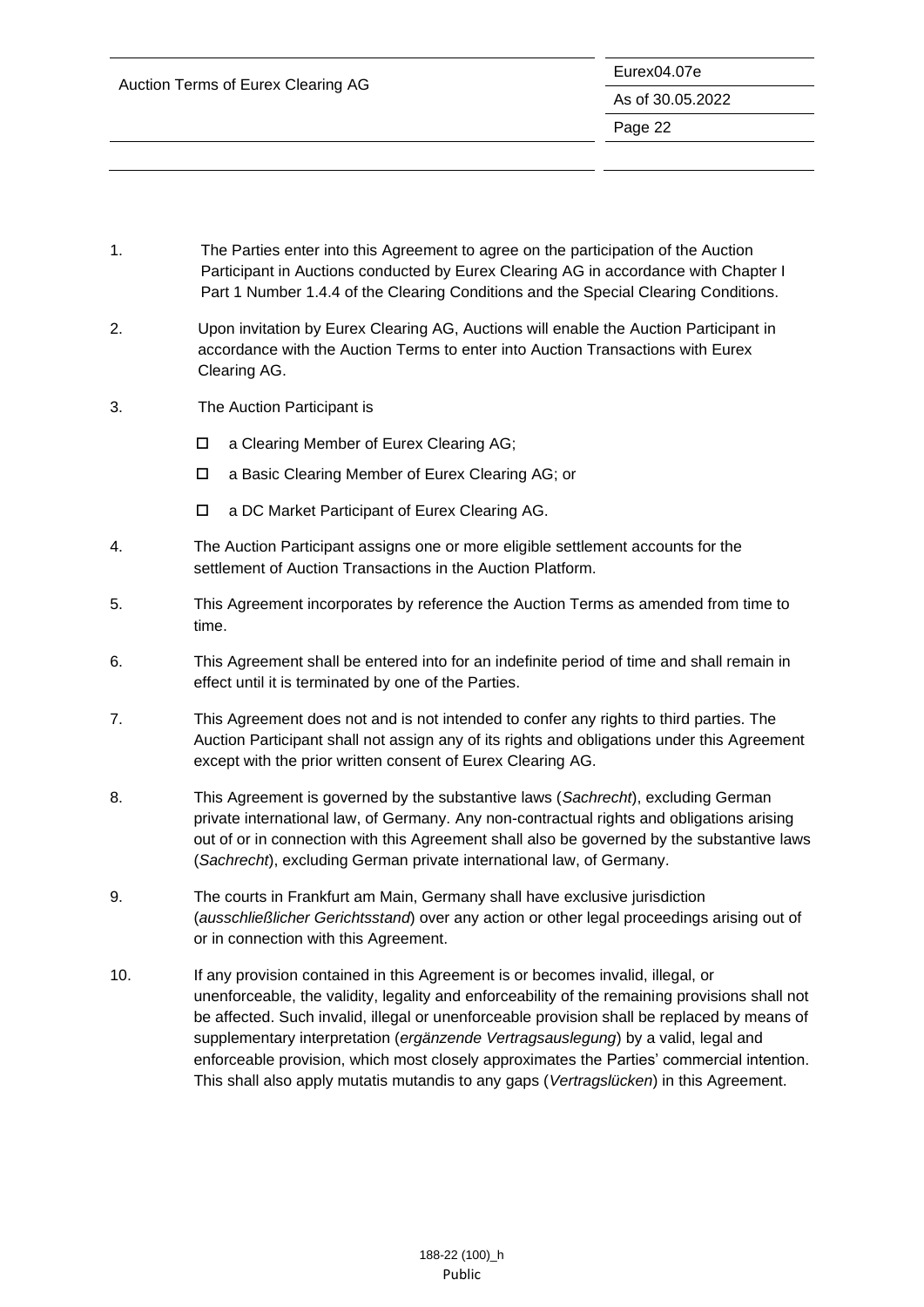| Auction Terms of Eurex Clearing AG | Eurex04.07e      |
|------------------------------------|------------------|
|                                    | As of 30.05.2022 |
|                                    | Page 22          |
|                                    |                  |

- 1. The Parties enter into this Agreement to agree on the participation of the Auction Participant in Auctions conducted by Eurex Clearing AG in accordance with Chapter I Part 1 Number 1.4.4 of the Clearing Conditions and the Special Clearing Conditions.
- 2. Upon invitation by Eurex Clearing AG, Auctions will enable the Auction Participant in accordance with the Auction Terms to enter into Auction Transactions with Eurex Clearing AG.
- 3. The Auction Participant is
	- □ a Clearing Member of Eurex Clearing AG;
	- a Basic Clearing Member of Eurex Clearing AG; or
	- a DC Market Participant of Eurex Clearing AG.
- 4. The Auction Participant assigns one or more eligible settlement accounts for the settlement of Auction Transactions in the Auction Platform.
- 5. This Agreement incorporates by reference the Auction Terms as amended from time to time.
- 6. This Agreement shall be entered into for an indefinite period of time and shall remain in effect until it is terminated by one of the Parties.
- 7. This Agreement does not and is not intended to confer any rights to third parties. The Auction Participant shall not assign any of its rights and obligations under this Agreement except with the prior written consent of Eurex Clearing AG.
- 8. This Agreement is governed by the substantive laws (*Sachrecht*), excluding German private international law, of Germany. Any non-contractual rights and obligations arising out of or in connection with this Agreement shall also be governed by the substantive laws (*Sachrecht*), excluding German private international law, of Germany.
- 9. The courts in Frankfurt am Main, Germany shall have exclusive jurisdiction (*ausschließlicher Gerichtsstand*) over any action or other legal proceedings arising out of or in connection with this Agreement.
- 10. If any provision contained in this Agreement is or becomes invalid, illegal, or unenforceable, the validity, legality and enforceability of the remaining provisions shall not be affected. Such invalid, illegal or unenforceable provision shall be replaced by means of supplementary interpretation (*ergänzende Vertragsauslegung*) by a valid, legal and enforceable provision, which most closely approximates the Parties' commercial intention. This shall also apply mutatis mutandis to any gaps (*Vertragslücken*) in this Agreement.